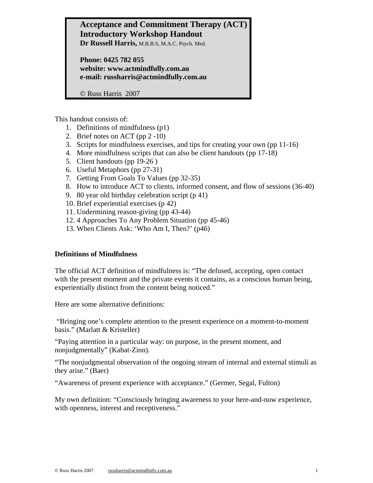# **Acceptance and Commitment Therapy (ACT) Introductory Workshop Handout**

**Dr Russell Harris,** M.B.B.S, M.A.C. Psych. Med.

**Phone: 0425 782 055 website: [www.actmindfully.com.au](http://www.actmindfully.com.au/) e-mail: [russharris@actmindfully.com.au](mailto:russharris@actmindfully.com.au)**

© Russ Harris 2007

This handout consists of:

- 1. Definitions of mindfulness (p1)
- 2. Brief notes on ACT (pp 2 -10)
- 3. Scripts for mindfulness exercises, and tips for creating your own (pp 11-16)
- 4. More mindfulness scripts that can also be client handouts (pp 17-18)
- 5. Client handouts (pp 19-26 )
- 6. Useful Metaphors (pp 27-31)
- 7. Getting From Goals To Values (pp 32-35)
- 8. How to introduce ACT to clients, informed consent, and flow of sessions (36-40)
- 9. 80 year old birthday celebration script (p 41)
- 10. Brief experiential exercises (p 42)
- 11. Undermining reason-giving (pp 43-44)
- 12. 4 Approaches To Any Problem Situation (pp 45-46)
- 13. When Clients Ask: 'Who Am I, Then?' (p46)

#### **Definitions of Mindfulness**

The official ACT definition of mindfulness is: "The defused, accepting, open contact with the present moment and the private events it contains, as a conscious human being, experientially distinct from the content being noticed."

Here are some alternative definitions:

 "Bringing one's complete attention to the present experience on a moment-to-moment basis." (Marlatt & Kristeller)

"Paying attention in a particular way: on purpose, in the present moment, and nonjudgmentally" (Kabat-Zinn).

"The nonjudgmental observation of the ongoing stream of internal and external stimuli as they arise." (Baer)

"Awareness of present experience with acceptance." (Germer, Segal, Fulton)

My own definition: "Consciously bringing awareness to your here-and-now experience, with openness, interest and receptiveness."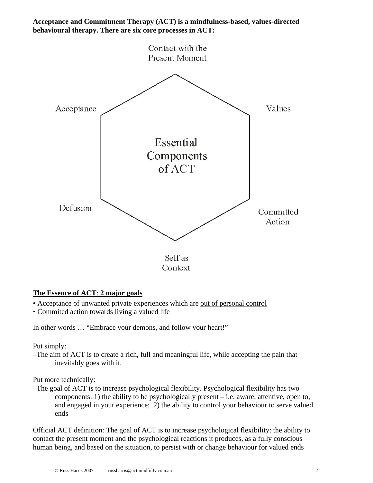**Acceptance and Commitment Therapy (ACT) is a mindfulness-based, values-directed behavioural therapy. There are six core processes in ACT:** 



Context

# **The Essence of ACT**: **2 major goals**

- Acceptance of unwanted private experiences which are <u>out of personal control</u>
- Commited action towards living a valued life

In other words … "Embrace your demons, and follow your heart!"

#### Put simply:

–The aim of ACT is to create a rich, full and meaningful life, while accepting the pain that inevitably goes with it.

Put more technically:

–The goal of ACT is to increase psychological flexibility. Psychological flexibility has two components: 1) the ability to be psychologically present  $-i.e.$  aware, attentive, open to, and engaged in your experience; 2) the ability to control your behaviour to serve valued ends

Official ACT definition: The goal of ACT is to increase psychological flexibility: the ability to contact the present moment and the psychological reactions it produces, as a fully conscious human being, and based on the situation, to persist with or change behaviour for valued ends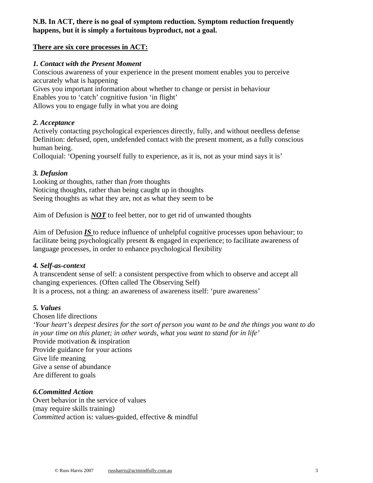# **N.B. In ACT, there is no goal of symptom reduction. Symptom reduction frequently happens, but it is simply a fortuitous byproduct, not a goal.**

### **There are six core processes in ACT:**

#### *1. Contact with the Present Moment*

Conscious awareness of your experience in the present moment enables you to perceive accurately what is happening

Gives you important information about whether to change or persist in behaviour Enables you to 'catch' cognitive fusion 'in flight'

Allows you to engage fully in what you are doing

### *2. Acceptance*

Actively contacting psychological experiences directly, fully, and without needless defense Definition: defused, open, undefended contact with the present moment, as a fully conscious human being.

Colloquial: 'Opening yourself fully to experience, as it is, not as your mind says it is'

### *3. Defusion*

Looking *at* thoughts, rather than *from* thoughts Noticing thoughts, rather than being caught up in thoughts Seeing thoughts as what they are, not as what they seem to be

Aim of Defusion is *NOT* to feel better, nor to get rid of unwanted thoughts

Aim of Defusion *IS* to reduce influence of unhelpful cognitive processes upon behaviour; to facilitate being psychologically present & engaged in experience; to facilitate awareness of language processes, in order to enhance psychological flexibility

# *4. Self-as-context*

A transcendent sense of self: a consistent perspective from which to observe and accept all changing experiences. (Often called The Observing Self) It is a process, not a thing: an awareness of awareness itself: 'pure awareness'

# *5. Values*

Chosen life directions *'Your heart's deepest desires for the sort of person you want to be and the things you want to do in your time on this planet; in other words, what you want to stand for in life'*  Provide motivation & inspiration Provide guidance for your actions Give life meaning Give a sense of abundance Are different to goals

# *6.Committed Action*

Overt behavior in the service of values (may require skills training) *Committed* action is: values-guided, effective & mindful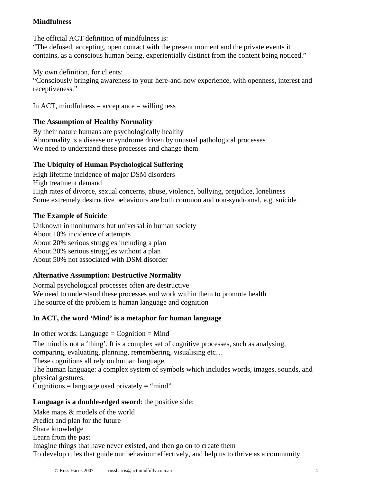# **Mindfulness**

The official ACT definition of mindfulness is:

"The defused, accepting, open contact with the present moment and the private events it contains, as a conscious human being, experientially distinct from the content being noticed."

My own definition, for clients:

"Consciously bringing awareness to your here-and-now experience, with openness, interest and receptiveness."

In ACT, mindfulness  $=$  acceptance  $=$  willingness

# **The Assumption of Healthy Normality**

By their nature humans are psychologically healthy Abnormality is a disease or syndrome driven by unusual pathological processes We need to understand these processes and change them

# **The Ubiquity of Human Psychological Suffering**

High lifetime incidence of major DSM disorders High treatment demand High rates of divorce, sexual concerns, abuse, violence, bullying, prejudice, loneliness Some extremely destructive behaviours are both common and non-syndromal, e.g. suicide

# **The Example of Suicide**

Unknown in nonhumans but universal in human society About 10% incidence of attempts About 20% serious struggles including a plan About 20% serious struggles without a plan About 50% not associated with DSM disorder

# **Alternative Assumption: Destructive Normality**

Normal psychological processes often are destructive We need to understand these processes and work within them to promote health The source of the problem is human language and cognition

# **In ACT, the word 'Mind' is a metaphor for human language**

**I**n other words: Language = Cognition = Mind The mind is not a 'thing'. It is a complex set of cognitive processes, such as analysing, comparing, evaluating, planning, remembering, visualising etc… These cognitions all rely on human language. The human language: a complex system of symbols which includes words, images, sounds, and physical gestures. Cognitions  $=$  language used privately  $=$  "mind"

# **Language is a double-edged sword**: the positive side:

Make maps & models of the world Predict and plan for the future Share knowledge Learn from the past Imagine things that have never existed, and then go on to create them To develop rules that guide our behaviour effectively, and help us to thrive as a community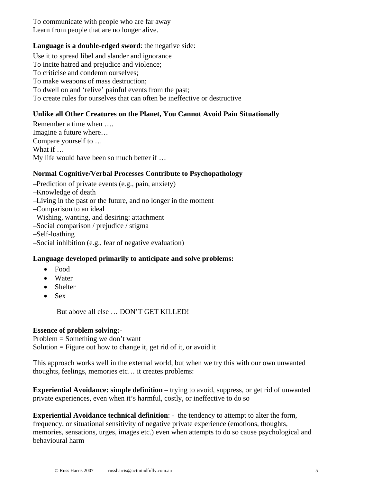To communicate with people who are far away Learn from people that are no longer alive.

# **Language is a double-edged sword:** the negative side:

Use it to spread libel and slander and ignorance To incite hatred and prejudice and violence; To criticise and condemn ourselves; To make weapons of mass destruction; To dwell on and 'relive' painful events from the past; To create rules for ourselves that can often be ineffective or destructive

### **Unlike all Other Creatures on the Planet, You Cannot Avoid Pain Situationally**

Remember a time when …. Imagine a future where… Compare yourself to … What if  $\dots$ My life would have been so much better if …

#### **Normal Cognitive/Verbal Processes Contribute to Psychopathology**

- –Prediction of private events (e.g., pain, anxiety)
- –Knowledge of death
- –Living in the past or the future, and no longer in the moment
- –Comparison to an ideal
- –Wishing, wanting, and desiring: attachment
- –Social comparison / prejudice / stigma
- –Self-loathing
- –Social inhibition (e.g., fear of negative evaluation)

#### **Language developed primarily to anticipate and solve problems:**

- Food
- Water
- Shelter
- Sex

But above all else … DON'T GET KILLED!

#### **Essence of problem solving:-**

Problem = Something we don't want Solution = Figure out how to change it, get rid of it, or avoid it

This approach works well in the external world, but when we try this with our own unwanted thoughts, feelings, memories etc… it creates problems:

**Experiential Avoidance: simple definition** – trying to avoid, suppress, or get rid of unwanted private experiences, even when it's harmful, costly, or ineffective to do so

**Experiential Avoidance technical definition**: - the tendency to attempt to alter the form, frequency, or situational sensitivity of negative private experience (emotions, thoughts, memories, sensations, urges, images etc.) even when attempts to do so cause psychological and behavioural harm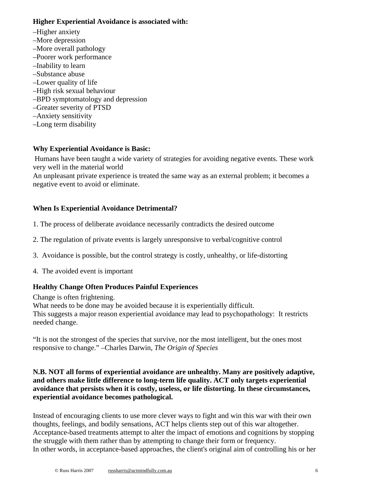### **Higher Experiential Avoidance is associated with:**

- –Higher anxiety
- –More depression
- –More overall pathology
- –Poorer work performance
- –Inability to learn
- –Substance abuse
- –Lower quality of life
- –High risk sexual behaviour
- –BPD symptomatology and depression
- –Greater severity of PTSD
- –Anxiety sensitivity
- –Long term disability

# **Why Experiential Avoidance is Basic:**

 Humans have been taught a wide variety of strategies for avoiding negative events. These work very well in the material world

An unpleasant private experience is treated the same way as an external problem; it becomes a negative event to avoid or eliminate.

# **When Is Experiential Avoidance Detrimental?**

- 1. The process of deliberate avoidance necessarily contradicts the desired outcome
- 2. The regulation of private events is largely unresponsive to verbal/cognitive control
- 3. Avoidance is possible, but the control strategy is costly, unhealthy, or life-distorting
- 4. The avoided event is important

# **Healthy Change Often Produces Painful Experiences**

Change is often frightening.

What needs to be done may be avoided because it is experientially difficult. This suggests a major reason experiential avoidance may lead to psychopathology: It restricts needed change.

"It is not the strongest of the species that survive, nor the most intelligent, but the ones most responsive to change." –Charles Darwin, *The Origin of Species*

### **N.B. NOT all forms of experiential avoidance are unhealthy. Many are positively adaptive, and others make little difference to long-term life quality. ACT only targets experiential avoidance that persists when it is costly, useless, or life distorting. In these circumstances, experiential avoidance becomes pathological.**

Instead of encouraging clients to use more clever ways to fight and win this war with their own thoughts, feelings, and bodily sensations, ACT helps clients step out of this war altogether. Acceptance-based treatments attempt to alter the impact of emotions and cognitions by stopping the struggle with them rather than by attempting to change their form or frequency. In other words, in acceptance-based approaches, the client's original aim of controlling his or her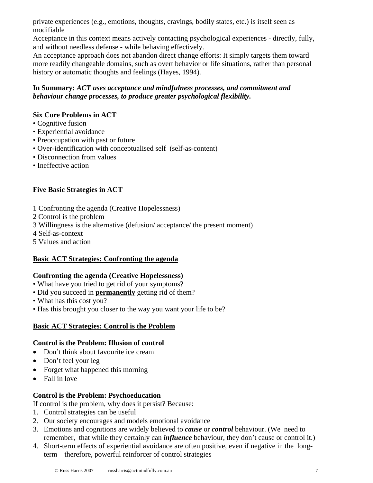private experiences (e.g., emotions, thoughts, cravings, bodily states, etc.) is itself seen as modifiable

Acceptance in this context means actively contacting psychological experiences - directly, fully, and without needless defense - while behaving effectively.

An acceptance approach does not abandon direct change efforts: It simply targets them toward more readily changeable domains, such as overt behavior or life situations, rather than personal history or automatic thoughts and feelings (Hayes, 1994).

# **In Summary:** *ACT uses acceptance and mindfulness processes, and commitment and behaviour change processes, to produce greater psychological flexibility.*

# **Six Core Problems in ACT**

- Cognitive fusion
- Experiential avoidance
- Preoccupation with past or future
- Over-identification with conceptualised self (self-as-content)
- Disconnection from values
- Ineffective action

# **Five Basic Strategies in ACT**

- 1 Confronting the agenda (Creative Hopelessness)
- 2 Control is the problem
- 3 Willingness is the alternative (defusion/ acceptance/ the present moment)
- 4 Self-as-context
- 5 Values and action

# **Basic ACT Strategies: Confronting the agenda**

# **Confronting the agenda (Creative Hopelessness)**

- What have you tried to get rid of your symptoms?
- Did you succeed in **permanently** getting rid of them?
- What has this cost you?
- Has this brought you closer to the way you want your life to be?

# **Basic ACT Strategies: Control is the Problem**

# **Control is the Problem: Illusion of control**

- Don't think about favourite ice cream
- Don't feel your leg
- Forget what happened this morning
- Fall in love

# **Control is the Problem: Psychoeducation**

If control is the problem, why does it persist? Because:

- 1. Control strategies can be useful
- 2. Our society encourages and models emotional avoidance
- 3. Emotions and cognitions are widely believed to *cause* or *control* behaviour. (We need to remember, that while they certainly can *influence* behaviour, they don't cause or control it.)
- 4. Short-term effects of experiential avoidance are often positive, even if negative in the longterm – therefore, powerful reinforcer of control strategies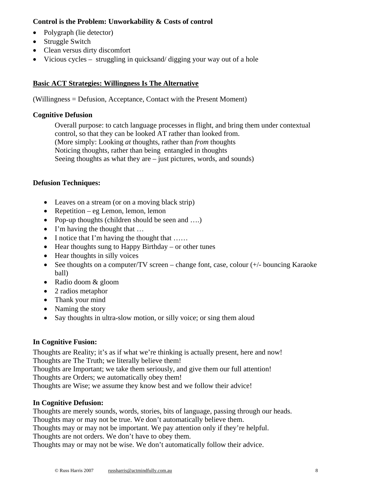# **Control is the Problem: Unworkability & Costs of control**

- Polygraph (lie detector)
- Struggle Switch
- Clean versus dirty discomfort
- Vicious cycles struggling in quicksand/ digging your way out of a hole

#### **Basic ACT Strategies: Willingness Is The Alternative**

(Willingness = Defusion, Acceptance, Contact with the Present Moment)

#### **Cognitive Defusion**

Overall purpose: to catch language processes in flight, and bring them under contextual control, so that they can be looked AT rather than looked from. (More simply: Looking *at* thoughts, rather than *from* thoughts Noticing thoughts, rather than being entangled in thoughts Seeing thoughts as what they are – just pictures, words, and sounds)

#### **Defusion Techniques:**

- Leaves on a stream (or on a moving black strip)
- Repetition eg Lemon, lemon, lemon
- Pop-up thoughts (children should be seen and ....)
- I'm having the thought that ...
- I notice that I'm having the thought that ……
- Hear thoughts sung to Happy Birthday or other tunes
- Hear thoughts in silly voices
- See thoughts on a computer/TV screen change font, case, colour (+/- bouncing Karaoke ball)
- Radio doom & gloom
- 2 radios metaphor
- Thank your mind
- Naming the story
- Say thoughts in ultra-slow motion, or silly voice; or sing them aloud

#### **In Cognitive Fusion:**

Thoughts are Reality; it's as if what we're thinking is actually present, here and now! Thoughts are The Truth; we literally believe them!

Thoughts are Important; we take them seriously, and give them our full attention! Thoughts are Orders; we automatically obey them!

Thoughts are Wise; we assume they know best and we follow their advice!

#### **In Cognitive Defusion:**

Thoughts are merely sounds, words, stories, bits of language, passing through our heads. Thoughts may or may not be true. We don't automatically believe them.

Thoughts may or may not be important. We pay attention only if they're helpful.

Thoughts are not orders. We don't have to obey them.

Thoughts may or may not be wise. We don't automatically follow their advice.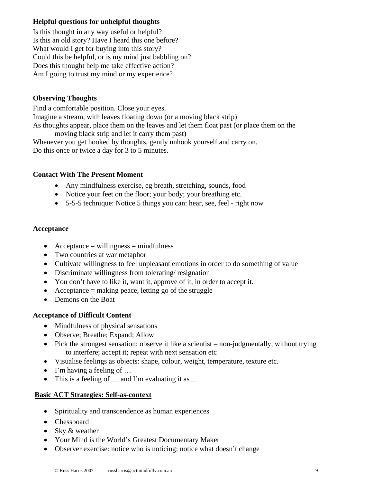# **Helpful questions for unhelpful thoughts**

Is this thought in any way useful or helpful? Is this an old story? Have I heard this one before? What would I get for buying into this story? Could this be helpful, or is my mind just babbling on? Does this thought help me take effective action? Am I going to trust my mind or my experience?

# **Observing Thoughts**

Find a comfortable position. Close your eyes. Imagine a stream, with leaves floating down (or a moving black strip) As thoughts appear, place them on the leaves and let them float past (or place them on the

moving black strip and let it carry them past) Whenever you get hooked by thoughts, gently unhook yourself and carry on. Do this once or twice a day for 3 to 5 minutes.

# **Contact With The Present Moment**

- Any mindfulness exercise, eg breath, stretching, sounds, food
- Notice your feet on the floor; your body; your breathing etc.
- 5-5-5 technique: Notice 5 things you can: hear, see, feel right now

# **Acceptance**

- Acceptance  $=$  willingness  $=$  mindfulness
- Two countries at war metaphor
- Cultivate willingness to feel unpleasant emotions in order to do something of value
- Discriminate willingness from tolerating/ resignation
- You don't have to like it, want it, approve of it, in order to accept it.
- Acceptance  $=$  making peace, letting go of the struggle
- Demons on the Boat

# **Acceptance of Difficult Content**

- Mindfulness of physical sensations
- Observe; Breathe; Expand; Allow
- Pick the strongest sensation; observe it like a scientist non-judgmentally, without trying to interfere; accept it; repeat with next sensation etc
- Visualise feelings as objects: shape, colour, weight, temperature, texture etc.
- I'm having a feeling of ...
- This is a feeling of  $\equiv$  and I'm evaluating it as

# **Basic ACT Strategies: Self-as-context**

- Spirituality and transcendence as human experiences
- Chessboard
- Sky & weather
- Your Mind is the World's Greatest Documentary Maker
- Observer exercise: notice who is noticing; notice what doesn't change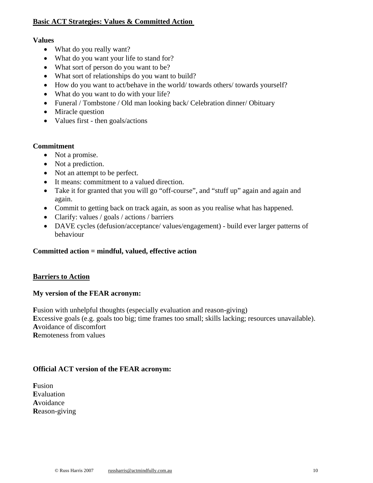# **Basic ACT Strategies: Values & Committed Action**

# **Values**

- What do you really want?
- What do you want your life to stand for?
- What sort of person do you want to be?
- What sort of relationships do you want to build?
- How do you want to act/behave in the world/ towards others/ towards yourself?
- What do you want to do with your life?
- Funeral / Tombstone / Old man looking back/ Celebration dinner/ Obituary
- Miracle question
- Values first then goals/actions

### **Commitment**

- Not a promise.
- Not a prediction.
- Not an attempt to be perfect.
- It means: commitment to a valued direction.
- Take it for granted that you will go "off-course", and "stuff up" again and again and again.
- Commit to getting back on track again, as soon as you realise what has happened.
- Clarify: values / goals / actions / barriers
- DAVE cycles (defusion/acceptance/ values/engagement) build ever larger patterns of behaviour

# **Committed action = mindful, valued, effective action**

# **Barriers to Action**

# **My version of the FEAR acronym:**

**F**usion with unhelpful thoughts (especially evaluation and reason-giving) **E**xcessive goals (e.g. goals too big; time frames too small; skills lacking; resources unavailable). **A**voidance of discomfort **R**emoteness from values

# **Official ACT version of the FEAR acronym:**

**F**usion **E**valuation **A**voidance **R**eason-giving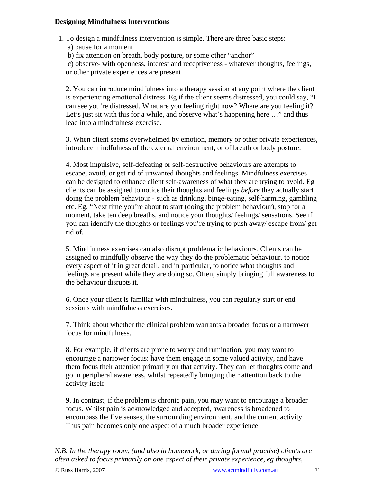#### **Designing Mindfulness Interventions**

1. To design a mindfulness intervention is simple. There are three basic steps:

a) pause for a moment

b) fix attention on breath, body posture, or some other "anchor"

c) observe- with openness, interest and receptiveness - whatever thoughts, feelings, or other private experiences are present

2. You can introduce mindfulness into a therapy session at any point where the client is experiencing emotional distress. Eg if the client seems distressed, you could say, "I can see you're distressed. What are you feeling right now? Where are you feeling it? Let's just sit with this for a while, and observe what's happening here ..." and thus lead into a mindfulness exercise.

3. When client seems overwhelmed by emotion, memory or other private experiences, introduce mindfulness of the external environment, or of breath or body posture.

4. Most impulsive, self-defeating or self-destructive behaviours are attempts to escape, avoid, or get rid of unwanted thoughts and feelings. Mindfulness exercises can be designed to enhance client self-awareness of what they are trying to avoid. Eg clients can be assigned to notice their thoughts and feelings *before* they actually start doing the problem behaviour - such as drinking, binge-eating, self-harming, gambling etc. Eg. "Next time you're about to start (doing the problem behaviour), stop for a moment, take ten deep breaths, and notice your thoughts/ feelings/ sensations. See if you can identify the thoughts or feelings you're trying to push away/ escape from/ get rid of.

5. Mindfulness exercises can also disrupt problematic behaviours. Clients can be assigned to mindfully observe the way they do the problematic behaviour, to notice every aspect of it in great detail, and in particular, to notice what thoughts and feelings are present while they are doing so. Often, simply bringing full awareness to the behaviour disrupts it.

6. Once your client is familiar with mindfulness, you can regularly start or end sessions with mindfulness exercises.

7. Think about whether the clinical problem warrants a broader focus or a narrower focus for mindfulness.

8. For example, if clients are prone to worry and rumination, you may want to encourage a narrower focus: have them engage in some valued activity, and have them focus their attention primarily on that activity. They can let thoughts come and go in peripheral awareness, whilst repeatedly bringing their attention back to the activity itself.

9. In contrast, if the problem is chronic pain, you may want to encourage a broader focus. Whilst pain is acknowledged and accepted, awareness is broadened to encompass the five senses, the surrounding environment, and the current activity. Thus pain becomes only one aspect of a much broader experience.

*N.B. In the therapy room, (and also in homework, or during formal practise) clients are often asked to focus primarily on one aspect of their private experience, eg thoughts,*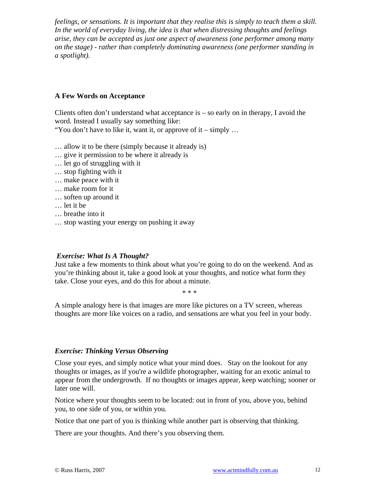*feelings, or sensations. It is important that they realise this is simply to teach them a skill. In the world of everyday living, the idea is that when distressing thoughts and feelings arise, they can be accepted as just one aspect of awareness (one performer among many on the stage) - rather than completely dominating awareness (one performer standing in a spotlight).*

#### **A Few Words on Acceptance**

Clients often don't understand what acceptance is  $-$  so early on in therapy, I avoid the word. Instead I usually say something like: "You don't have to like it, want it, or approve of it – simply  $\dots$ 

- … allow it to be there (simply because it already is)
- … give it permission to be where it already is
- … let go of struggling with it
- … stop fighting with it
- … make peace with it
- … make room for it
- … soften up around it
- … let it be
- … breathe into it
- … stop wasting your energy on pushing it away

#### *Exercise: What Is A Thought?*

Just take a few moments to think about what you're going to do on the weekend. And as you're thinking about it, take a good look at your thoughts, and notice what form they take. Close your eyes, and do this for about a minute.

\* \* \*

A simple analogy here is that images are more like pictures on a TV screen, whereas thoughts are more like voices on a radio, and sensations are what you feel in your body.

#### *Exercise: Thinking Versus Observing*

Close your eyes, and simply notice what your mind does. Stay on the lookout for any thoughts or images, as if you're a wildlife photographer, waiting for an exotic animal to appear from the undergrowth. If no thoughts or images appear, keep watching; sooner or later one will.

Notice where your thoughts seem to be located: out in front of you, above you, behind you, to one side of you, or within you.

Notice that one part of you is thinking while another part is observing that thinking.

There are your thoughts. And there's you observing them.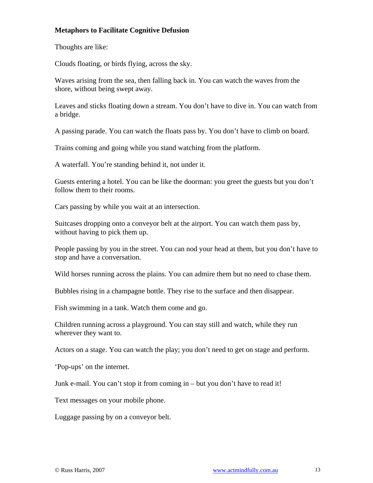# **Metaphors to Facilitate Cognitive Defusion**

Thoughts are like:

Clouds floating, or birds flying, across the sky.

Waves arising from the sea, then falling back in. You can watch the waves from the shore, without being swept away.

Leaves and sticks floating down a stream. You don't have to dive in. You can watch from a bridge.

A passing parade. You can watch the floats pass by. You don't have to climb on board.

Trains coming and going while you stand watching from the platform.

A waterfall. You're standing behind it, not under it.

Guests entering a hotel. You can be like the doorman: you greet the guests but you don't follow them to their rooms.

Cars passing by while you wait at an intersection.

Suitcases dropping onto a conveyor belt at the airport. You can watch them pass by, without having to pick them up.

People passing by you in the street. You can nod your head at them, but you don't have to stop and have a conversation.

Wild horses running across the plains. You can admire them but no need to chase them.

Bubbles rising in a champagne bottle. They rise to the surface and then disappear.

Fish swimming in a tank. Watch them come and go.

Children running across a playground. You can stay still and watch, while they run wherever they want to.

Actors on a stage. You can watch the play; you don't need to get on stage and perform.

'Pop-ups' on the internet.

Junk e-mail. You can't stop it from coming in – but you don't have to read it!

Text messages on your mobile phone.

Luggage passing by on a conveyor belt.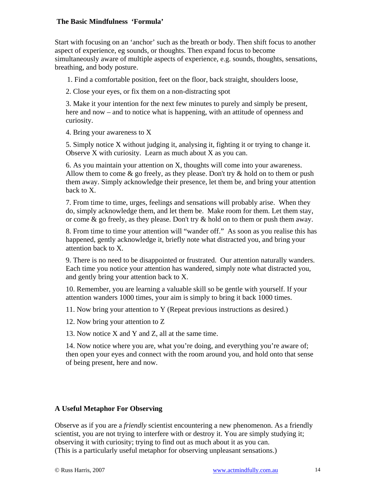#### **The Basic Mindfulness 'Formula'**

Start with focusing on an 'anchor' such as the breath or body. Then shift focus to another aspect of experience, eg sounds, or thoughts. Then expand focus to become simultaneously aware of multiple aspects of experience, e.g. sounds, thoughts, sensations, breathing, and body posture.

1. Find a comfortable position, feet on the floor, back straight, shoulders loose,

2. Close your eyes, or fix them on a non-distracting spot

3. Make it your intention for the next few minutes to purely and simply be present, here and now – and to notice what is happening, with an attitude of openness and curiosity.

4. Bring your awareness to X

5. Simply notice X without judging it, analysing it, fighting it or trying to change it. Observe X with curiosity. Learn as much about X as you can.

6. As you maintain your attention on X, thoughts will come into your awareness. Allow them to come  $\&$  go freely, as they please. Don't try  $\&$  hold on to them or push them away. Simply acknowledge their presence, let them be, and bring your attention back to X.

7. From time to time, urges, feelings and sensations will probably arise. When they do, simply acknowledge them, and let them be. Make room for them. Let them stay, or come  $\&$  go freely, as they please. Don't try  $\&$  hold on to them or push them away.

8. From time to time your attention will "wander off." As soon as you realise this has happened, gently acknowledge it, briefly note what distracted you, and bring your attention back to X.

9. There is no need to be disappointed or frustrated. Our attention naturally wanders. Each time you notice your attention has wandered, simply note what distracted you, and gently bring your attention back to X.

10. Remember, you are learning a valuable skill so be gentle with yourself. If your attention wanders 1000 times, your aim is simply to bring it back 1000 times.

11. Now bring your attention to Y (Repeat previous instructions as desired.)

12. Now bring your attention to Z

13. Now notice X and Y and Z, all at the same time.

14. Now notice where you are, what you're doing, and everything you're aware of; then open your eyes and connect with the room around you, and hold onto that sense of being present, here and now.

# **A Useful Metaphor For Observing**

Observe as if you are a *friendly* scientist encountering a new phenomenon. As a friendly scientist, you are not trying to interfere with or destroy it. You are simply studying it; observing it with curiosity; trying to find out as much about it as you can. (This is a particularly useful metaphor for observing unpleasant sensations.)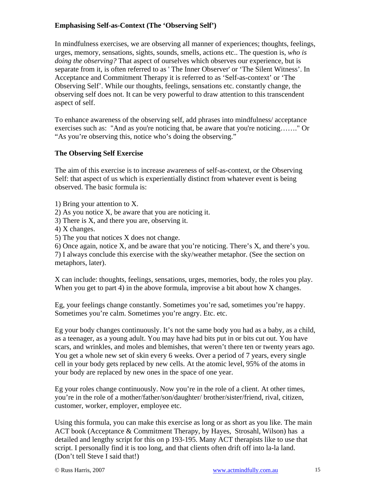# **Emphasising Self-as-Context (The 'Observing Self')**

In mindfulness exercises, we are observing all manner of experiences; thoughts, feelings, urges, memory, sensations, sights, sounds, smells, actions etc.. The question is, *who is doing the observing?* That aspect of ourselves which observes our experience, but is separate from it, is often referred to as ' The Inner Observer' or 'The Silent Witness'. In Acceptance and Commitment Therapy it is referred to as 'Self-as-context' or 'The Observing Self'. While our thoughts, feelings, sensations etc. constantly change, the observing self does not. It can be very powerful to draw attention to this transcendent aspect of self.

To enhance awareness of the observing self, add phrases into mindfulness/ acceptance exercises such as: "And as you're noticing that, be aware that you're noticing……." Or "As you're observing this, notice who's doing the observing."

### **The Observing Self Exercise**

The aim of this exercise is to increase awareness of self-as-context, or the Observing Self: that aspect of us which is experientially distinct from whatever event is being observed. The basic formula is:

1) Bring your attention to X.

2) As you notice X, be aware that you are noticing it.

3) There is X, and there you are, observing it.

4) X changes.

5) The you that notices X does not change.

6) Once again, notice X, and be aware that you're noticing. There's X, and there's you. 7) I always conclude this exercise with the sky/weather metaphor. (See the section on metaphors, later).

X can include: thoughts, feelings, sensations, urges, memories, body, the roles you play. When you get to part 4) in the above formula, improvise a bit about how X changes.

Eg, your feelings change constantly. Sometimes you're sad, sometimes you're happy. Sometimes you're calm. Sometimes you're angry. Etc. etc.

Eg your body changes continuously. It's not the same body you had as a baby, as a child, as a teenager, as a young adult. You may have had bits put in or bits cut out. You have scars, and wrinkles, and moles and blemishes, that weren't there ten or twenty years ago. You get a whole new set of skin every 6 weeks. Over a period of 7 years, every single cell in your body gets replaced by new cells. At the atomic level, 95% of the atoms in your body are replaced by new ones in the space of one year.

Eg your roles change continuously. Now you're in the role of a client. At other times, you're in the role of a mother/father/son/daughter/ brother/sister/friend, rival, citizen, customer, worker, employer, employee etc.

Using this formula, you can make this exercise as long or as short as you like. The main ACT book (Acceptance & Commitment Therapy, by Hayes, Strosahl, Wilson) has a detailed and lengthy script for this on p 193-195. Many ACT therapists like to use that script. I personally find it is too long, and that clients often drift off into la-la land. (Don't tell Steve I said that!)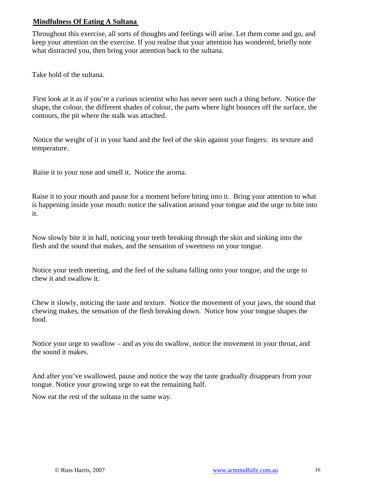# **Mindfulness Of Eating A Sultana**

Throughout this exercise, all sorts of thoughts and feelings will arise. Let them come and go, and keep your attention on the exercise. If you realise that your attention has wondered, briefly note what distracted you, then bring your attention back to the sultana.

Take hold of the sultana.

First look at it as if you're a curious scientist who has never seen such a thing before. Notice the shape, the colour, the different shades of colour, the parts where light bounces off the surface, the contours, the pit where the stalk was attached.

Notice the weight of it in your hand and the feel of the skin against your fingers: its texture and temperature.

Raise it to your nose and smell it. Notice the aroma.

Raise it to your mouth and pause for a moment before biting into it. Bring your attention to what is happening inside your mouth: notice the salivation around your tongue and the urge to bite into it.

Now slowly bite it in half, noticing your teeth breaking through the skin and sinking into the flesh and the sound that makes, and the sensation of sweetness on your tongue.

Notice your teeth meeting, and the feel of the sultana falling onto your tongue, and the urge to chew it and swallow it.

Chew it slowly, noticing the taste and texture. Notice the movement of your jaws, the sound that chewing makes, the sensation of the flesh breaking down. Notice how your tongue shapes the food.

Notice your urge to swallow – and as you do swallow, notice the movement in your throat, and the sound it makes.

And after you've swallowed, pause and notice the way the taste gradually disappears from your tongue. Notice your growing urge to eat the remaining half.

Now eat the rest of the sultana in the same way.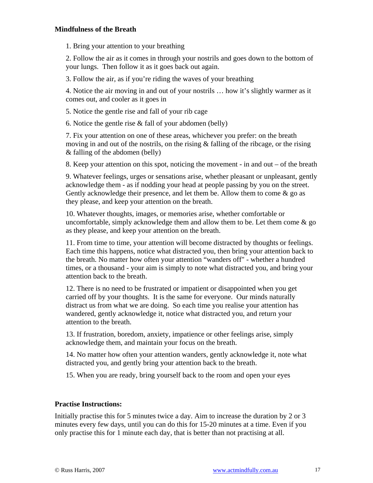#### **Mindfulness of the Breath**

1. Bring your attention to your breathing

2. Follow the air as it comes in through your nostrils and goes down to the bottom of your lungs. Then follow it as it goes back out again.

3. Follow the air, as if you're riding the waves of your breathing

4. Notice the air moving in and out of your nostrils … how it's slightly warmer as it comes out, and cooler as it goes in

5. Notice the gentle rise and fall of your rib cage

6. Notice the gentle rise & fall of your abdomen (belly)

7. Fix your attention on one of these areas, whichever you prefer: on the breath moving in and out of the nostrils, on the rising & falling of the ribcage, or the rising & falling of the abdomen (belly)

8. Keep your attention on this spot, noticing the movement - in and out – of the breath

9. Whatever feelings, urges or sensations arise, whether pleasant or unpleasant, gently acknowledge them - as if nodding your head at people passing by you on the street. Gently acknowledge their presence, and let them be. Allow them to come  $\&$  go as they please, and keep your attention on the breath.

10. Whatever thoughts, images, or memories arise, whether comfortable or uncomfortable, simply acknowledge them and allow them to be. Let them come  $\&$  go as they please, and keep your attention on the breath.

11. From time to time, your attention will become distracted by thoughts or feelings. Each time this happens, notice what distracted you, then bring your attention back to the breath. No matter how often your attention "wanders off" - whether a hundred times, or a thousand - your aim is simply to note what distracted you, and bring your attention back to the breath.

12. There is no need to be frustrated or impatient or disappointed when you get carried off by your thoughts. It is the same for everyone. Our minds naturally distract us from what we are doing. So each time you realise your attention has wandered, gently acknowledge it, notice what distracted you, and return your attention to the breath.

13. If frustration, boredom, anxiety, impatience or other feelings arise, simply acknowledge them, and maintain your focus on the breath.

14. No matter how often your attention wanders, gently acknowledge it, note what distracted you, and gently bring your attention back to the breath.

15. When you are ready, bring yourself back to the room and open your eyes

# **Practise Instructions:**

Initially practise this for 5 minutes twice a day. Aim to increase the duration by 2 or 3 minutes every few days, until you can do this for 15-20 minutes at a time. Even if you only practise this for 1 minute each day, that is better than not practising at all.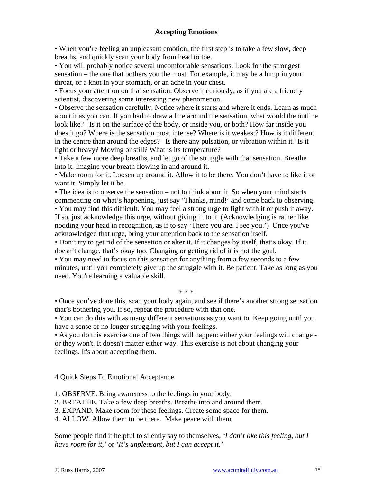### **Accepting Emotions**

• When you're feeling an unpleasant emotion, the first step is to take a few slow, deep breaths, and quickly scan your body from head to toe.

• You will probably notice several uncomfortable sensations. Look for the strongest sensation – the one that bothers you the most. For example, it may be a lump in your throat, or a knot in your stomach, or an ache in your chest.

• Focus your attention on that sensation. Observe it curiously, as if you are a friendly scientist, discovering some interesting new phenomenon.

• Observe the sensation carefully. Notice where it starts and where it ends. Learn as much about it as you can. If you had to draw a line around the sensation, what would the outline look like? Is it on the surface of the body, or inside you, or both? How far inside you does it go? Where is the sensation most intense? Where is it weakest? How is it different in the centre than around the edges? Is there any pulsation, or vibration within it? Is it light or heavy? Moving or still? What is its temperature?

• Take a few more deep breaths, and let go of the struggle with that sensation. Breathe into it. Imagine your breath flowing in and around it.

• Make room for it. Loosen up around it. Allow it to be there. You don't have to like it or want it. Simply let it be.

• The idea is to observe the sensation – not to think about it. So when your mind starts commenting on what's happening, just say 'Thanks, mind!' and come back to observing. • You may find this difficult. You may feel a strong urge to fight with it or push it away. If so, just acknowledge this urge, without giving in to it. (Acknowledging is rather like nodding your head in recognition, as if to say 'There you are. I see you.') Once you've acknowledged that urge, bring your attention back to the sensation itself.

• Don't try to get rid of the sensation or alter it. If it changes by itself, that's okay. If it doesn't change, that's okay too. Changing or getting rid of it is not the goal.

• You may need to focus on this sensation for anything from a few seconds to a few minutes, until you completely give up the struggle with it. Be patient. Take as long as you need. You're learning a valuable skill.

\* \* \*

• Once you've done this, scan your body again, and see if there's another strong sensation that's bothering you. If so, repeat the procedure with that one.

• You can do this with as many different sensations as you want to. Keep going until you have a sense of no longer struggling with your feelings.

• As you do this exercise one of two things will happen: either your feelings will change or they won't. It doesn't matter either way. This exercise is not about changing your feelings. It's about accepting them.

4 Quick Steps To Emotional Acceptance

1. OBSERVE. Bring awareness to the feelings in your body.

2. BREATHE. Take a few deep breaths. Breathe into and around them.

3. EXPAND. Make room for these feelings. Create some space for them.

4. ALLOW. Allow them to be there. Make peace with them

Some people find it helpful to silently say to themselves, *'I don't like this feeling, but I have room for it,'* or *'It's unpleasant, but I can accept it.'*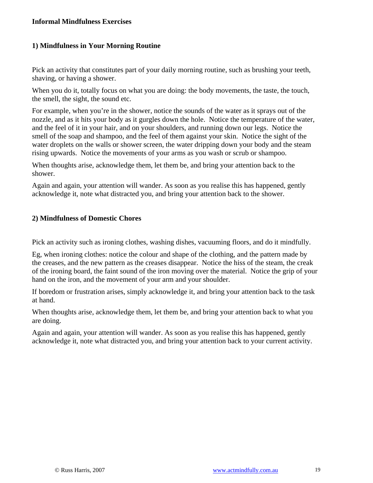#### **Informal Mindfulness Exercises**

#### **1) Mindfulness in Your Morning Routine**

Pick an activity that constitutes part of your daily morning routine, such as brushing your teeth, shaving, or having a shower.

When you do it, totally focus on what you are doing: the body movements, the taste, the touch, the smell, the sight, the sound etc.

For example, when you're in the shower, notice the sounds of the water as it sprays out of the nozzle, and as it hits your body as it gurgles down the hole. Notice the temperature of the water, and the feel of it in your hair, and on your shoulders, and running down our legs. Notice the smell of the soap and shampoo, and the feel of them against your skin. Notice the sight of the water droplets on the walls or shower screen, the water dripping down your body and the steam rising upwards. Notice the movements of your arms as you wash or scrub or shampoo.

When thoughts arise, acknowledge them, let them be, and bring your attention back to the shower.

Again and again, your attention will wander. As soon as you realise this has happened, gently acknowledge it, note what distracted you, and bring your attention back to the shower.

### **2) Mindfulness of Domestic Chores**

Pick an activity such as ironing clothes, washing dishes, vacuuming floors, and do it mindfully.

Eg, when ironing clothes: notice the colour and shape of the clothing, and the pattern made by the creases, and the new pattern as the creases disappear. Notice the hiss of the steam, the creak of the ironing board, the faint sound of the iron moving over the material. Notice the grip of your hand on the iron, and the movement of your arm and your shoulder.

If boredom or frustration arises, simply acknowledge it, and bring your attention back to the task at hand.

When thoughts arise, acknowledge them, let them be, and bring your attention back to what you are doing.

Again and again, your attention will wander. As soon as you realise this has happened, gently acknowledge it, note what distracted you, and bring your attention back to your current activity.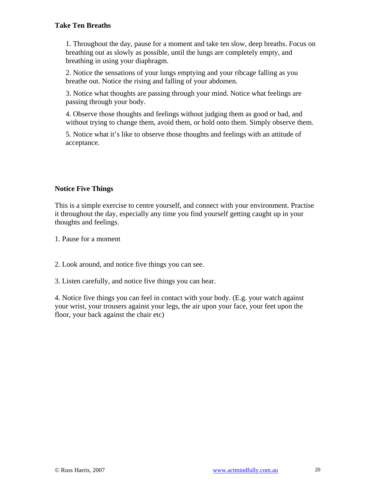# **Take Ten Breaths**

1. Throughout the day, pause for a moment and take ten slow, deep breaths. Focus on breathing out as slowly as possible, until the lungs are completely empty, and breathing in using your diaphragm.

2. Notice the sensations of your lungs emptying and your ribcage falling as you breathe out. Notice the rising and falling of your abdomen.

3. Notice what thoughts are passing through your mind. Notice what feelings are passing through your body.

4. Observe those thoughts and feelings without judging them as good or bad, and without trying to change them, avoid them, or hold onto them. Simply observe them.

5. Notice what it's like to observe those thoughts and feelings with an attitude of acceptance.

# **Notice Five Things**

This is a simple exercise to centre yourself, and connect with your environment. Practise it throughout the day, especially any time you find yourself getting caught up in your thoughts and feelings.

1. Pause for a moment

2. Look around, and notice five things you can see.

3. Listen carefully, and notice five things you can hear.

4. Notice five things you can feel in contact with your body. (E.g. your watch against your wrist, your trousers against your legs, the air upon your face, your feet upon the floor, your back against the chair etc)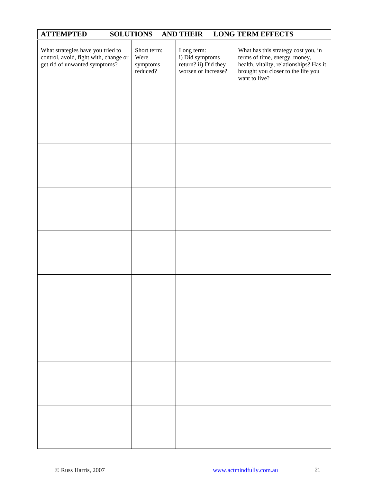| <b>ATTEMPTED</b>                                                                                            | <b>SOLUTIONS</b>                            | <b>AND THEIR</b> |                                                                              | <b>LONG TERM EFFECTS</b>                                                                                                                                               |
|-------------------------------------------------------------------------------------------------------------|---------------------------------------------|------------------|------------------------------------------------------------------------------|------------------------------------------------------------------------------------------------------------------------------------------------------------------------|
| What strategies have you tried to<br>control, avoid, fight with, change or<br>get rid of unwanted symptoms? | Short term:<br>Were<br>symptoms<br>reduced? |                  | Long term:<br>i) Did symptoms<br>return? ii) Did they<br>worsen or increase? | What has this strategy cost you, in<br>terms of time, energy, money,<br>health, vitality, relationships? Has it<br>brought you closer to the life you<br>want to live? |
|                                                                                                             |                                             |                  |                                                                              |                                                                                                                                                                        |
|                                                                                                             |                                             |                  |                                                                              |                                                                                                                                                                        |
|                                                                                                             |                                             |                  |                                                                              |                                                                                                                                                                        |
|                                                                                                             |                                             |                  |                                                                              |                                                                                                                                                                        |
|                                                                                                             |                                             |                  |                                                                              |                                                                                                                                                                        |
|                                                                                                             |                                             |                  |                                                                              |                                                                                                                                                                        |
|                                                                                                             |                                             |                  |                                                                              |                                                                                                                                                                        |
|                                                                                                             |                                             |                  |                                                                              |                                                                                                                                                                        |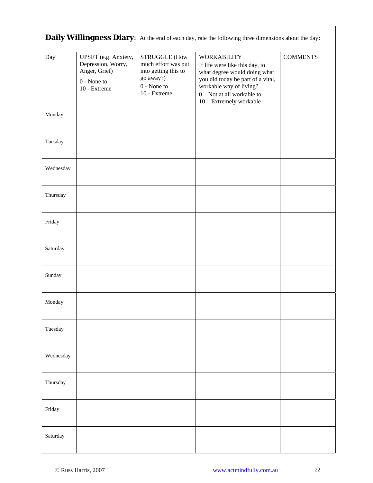| Daily Willingness Diary: At the end of each day, rate the following three dimensions about the day: |                                                                                              |                                                                                                                   |                                                                                                                                                                                                                 |                 |  |
|-----------------------------------------------------------------------------------------------------|----------------------------------------------------------------------------------------------|-------------------------------------------------------------------------------------------------------------------|-----------------------------------------------------------------------------------------------------------------------------------------------------------------------------------------------------------------|-----------------|--|
| Day                                                                                                 | UPSET (e.g. Anxiety,<br>Depression, Worry,<br>Anger, Grief)<br>$0$ - None to<br>10 - Extreme | <b>STRUGGLE (How</b><br>much effort was put<br>into getting this to<br>go away?)<br>$0 - None$ to<br>10 - Extreme | <b>WORKABILITY</b><br>If life were like this day, to<br>what degree would doing what<br>you did today be part of a vital,<br>workable way of living?<br>$0$ – Not at all workable to<br>10 - Extremely workable | <b>COMMENTS</b> |  |
| Monday                                                                                              |                                                                                              |                                                                                                                   |                                                                                                                                                                                                                 |                 |  |
| Tuesday                                                                                             |                                                                                              |                                                                                                                   |                                                                                                                                                                                                                 |                 |  |
| Wednesday                                                                                           |                                                                                              |                                                                                                                   |                                                                                                                                                                                                                 |                 |  |
| Thursday                                                                                            |                                                                                              |                                                                                                                   |                                                                                                                                                                                                                 |                 |  |
| Friday                                                                                              |                                                                                              |                                                                                                                   |                                                                                                                                                                                                                 |                 |  |
| Saturday                                                                                            |                                                                                              |                                                                                                                   |                                                                                                                                                                                                                 |                 |  |
| Sunday                                                                                              |                                                                                              |                                                                                                                   |                                                                                                                                                                                                                 |                 |  |
| Monday                                                                                              |                                                                                              |                                                                                                                   |                                                                                                                                                                                                                 |                 |  |
| Tuesday                                                                                             |                                                                                              |                                                                                                                   |                                                                                                                                                                                                                 |                 |  |
| Wednesday                                                                                           |                                                                                              |                                                                                                                   |                                                                                                                                                                                                                 |                 |  |
| Thursday                                                                                            |                                                                                              |                                                                                                                   |                                                                                                                                                                                                                 |                 |  |
| Friday                                                                                              |                                                                                              |                                                                                                                   |                                                                                                                                                                                                                 |                 |  |
| Saturday                                                                                            |                                                                                              |                                                                                                                   |                                                                                                                                                                                                                 |                 |  |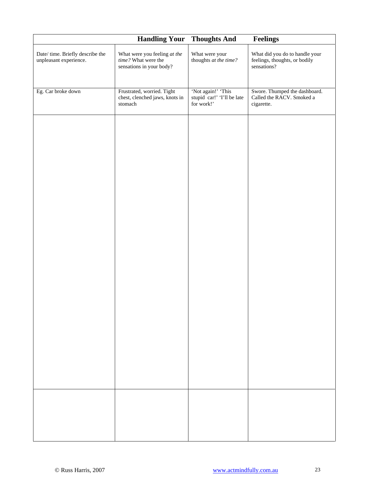|                                                           | <b>Handling Your</b>                                                            | <b>Thoughts And</b>                                            | Feelings                                                                       |
|-----------------------------------------------------------|---------------------------------------------------------------------------------|----------------------------------------------------------------|--------------------------------------------------------------------------------|
| Date/time. Briefly describe the<br>unpleasant experience. | What were you feeling at the<br>time? What were the<br>sensations in your body? | What were your<br>thoughts at the time?                        | What did you do to handle your<br>feelings, thoughts, or bodily<br>sensations? |
| Eg. Car broke down                                        | Frustrated, worried. Tight<br>chest, clenched jaws, knots in<br>stomach         | 'Not again!' 'This<br>stupid car!' 'I'll be late<br>for work!' | Swore. Thumped the dashboard.<br>Called the RACV. Smoked a<br>cigarette.       |
|                                                           |                                                                                 |                                                                |                                                                                |
|                                                           |                                                                                 |                                                                |                                                                                |
|                                                           |                                                                                 |                                                                |                                                                                |
|                                                           |                                                                                 |                                                                |                                                                                |
|                                                           |                                                                                 |                                                                |                                                                                |
|                                                           |                                                                                 |                                                                |                                                                                |
|                                                           |                                                                                 |                                                                |                                                                                |
|                                                           |                                                                                 |                                                                |                                                                                |
|                                                           |                                                                                 |                                                                |                                                                                |
|                                                           |                                                                                 |                                                                |                                                                                |
|                                                           |                                                                                 |                                                                |                                                                                |
|                                                           |                                                                                 |                                                                |                                                                                |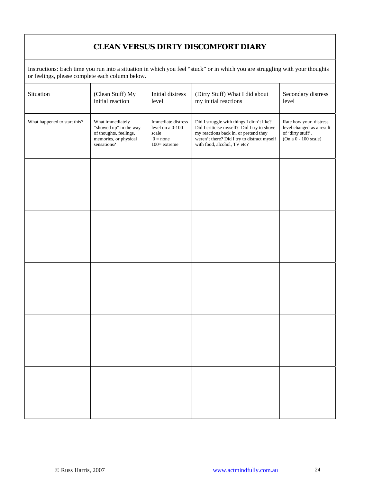# **CLEAN VERSUS DIRTY DISCOMFORT DIARY**

Instructions: Each time you run into a situation in which you feel "stuck" or in which you are struggling with your thoughts or feelings, please complete each column below.

| Situation                    | (Clean Stuff) My<br>initial reaction                                                                         | Initial distress<br>level                                                       | (Dirty Stuff) What I did about<br>my initial reactions                                                                                                                                                         | Secondary distress<br>level                                                                      |
|------------------------------|--------------------------------------------------------------------------------------------------------------|---------------------------------------------------------------------------------|----------------------------------------------------------------------------------------------------------------------------------------------------------------------------------------------------------------|--------------------------------------------------------------------------------------------------|
| What happened to start this? | What immediately<br>"showed up" in the way<br>of thoughts, feelings,<br>memories, or physical<br>sensations? | Immediate distress<br>level on a $0-100$<br>scale<br>$0 = none$<br>100= extreme | Did I struggle with things I didn't like?<br>Did I criticise myself? Did I try to shove<br>my reactions back in, or pretend they<br>weren't there? Did I try to distract myself<br>with food, alcohol, TV etc? | Rate how your distress<br>level changed as a result<br>of 'dirty stuff'.<br>(On a 0 - 100 scale) |
|                              |                                                                                                              |                                                                                 |                                                                                                                                                                                                                |                                                                                                  |
|                              |                                                                                                              |                                                                                 |                                                                                                                                                                                                                |                                                                                                  |
|                              |                                                                                                              |                                                                                 |                                                                                                                                                                                                                |                                                                                                  |
|                              |                                                                                                              |                                                                                 |                                                                                                                                                                                                                |                                                                                                  |
|                              |                                                                                                              |                                                                                 |                                                                                                                                                                                                                |                                                                                                  |
|                              |                                                                                                              |                                                                                 |                                                                                                                                                                                                                |                                                                                                  |
|                              |                                                                                                              |                                                                                 |                                                                                                                                                                                                                |                                                                                                  |
|                              |                                                                                                              |                                                                                 |                                                                                                                                                                                                                |                                                                                                  |
|                              |                                                                                                              |                                                                                 |                                                                                                                                                                                                                |                                                                                                  |
|                              |                                                                                                              |                                                                                 |                                                                                                                                                                                                                |                                                                                                  |
|                              |                                                                                                              |                                                                                 |                                                                                                                                                                                                                |                                                                                                  |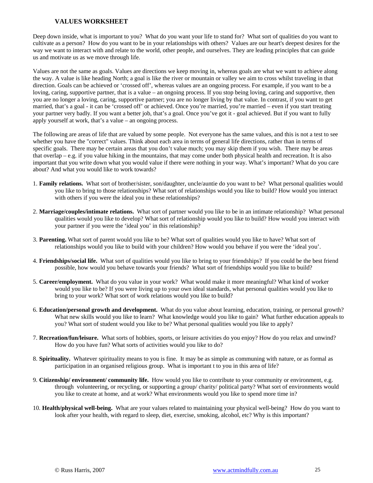#### **VALUES WORKSHEET**

Deep down inside, what is important to you? What do you want your life to stand for? What sort of qualities do you want to cultivate as a person? How do you want to be in your relationships with others? Values are our heart's deepest desires for the way we want to interact with and relate to the world, other people, and ourselves. They are leading principles that can guide us and motivate us as we move through life.

Values are not the same as goals. Values are directions we keep moving in, whereas goals are what we want to achieve along the way. A value is like heading North; a goal is like the river or mountain or valley we aim to cross whilst traveling in that direction. Goals can be achieved or 'crossed off', whereas values are an ongoing process. For example, if you want to be a loving, caring, supportive partner, that is a value – an ongoing process. If you stop being loving, caring and supportive, then you are no longer a loving, caring, supportive partner; you are no longer living by that value. In contrast, if you want to get married, that's a goal - it can be 'crossed off' or achieved. Once you're married, you're married – even if you start treating your partner very badly. If you want a better job, that's a goal. Once you've got it - goal achieved. But if you want to fully apply yourself at work, that's a value – an ongoing process.

The following are areas of life that are valued by some people. Not everyone has the same values, and this is not a test to see whether you have the "correct" values. Think about each area in terms of general life directions, rather than in terms of specific goals. There may be certain areas that you don't value much; you may skip them if you wish. There may be areas that overlap – e.g. if you value hiking in the mountains, that may come under both physical health and recreation. It is also important that you write down what you would value if there were nothing in your way. What's important? What do you care about? And what you would like to work towards?

- 1. **Family relations.** What sort of brother/sister, son/daughter, uncle/auntie do you want to be? What personal qualities would you like to bring to those relationships? What sort of relationships would you like to build? How would you interact with others if you were the ideal you in these relationships?
- 2. **Marriage/couples/intimate relations.** What sort of partner would you like to be in an intimate relationship? What personal qualities would you like to develop? What sort of relationship would you like to build? How would you interact with your partner if you were the 'ideal you' in this relationship?
- 3. **Parenting.** What sort of parent would you like to be? What sort of qualities would you like to have? What sort of relationships would you like to build with your children? How would you behave if you were the 'ideal you'.
- 4. **Friendships/social life.** What sort of qualities would you like to bring to your friendships? If you could be the best friend possible, how would you behave towards your friends? What sort of friendships would you like to build?
- 5. **Career/employment.** What do you value in your work? What would make it more meaningful? What kind of worker would you like to be? If you were living up to your own ideal standards, what personal qualities would you like to bring to your work? What sort of work relations would you like to build?
- 6. **Education/personal growth and development.** What do you value about learning, education, training, or personal growth? What new skills would you like to learn? What knowledge would you like to gain? What further education appeals to you? What sort of student would you like to be? What personal qualities would you like to apply?
- 7. **Recreation/fun/leisure.** What sorts of hobbies, sports, or leisure activities do you enjoy? How do you relax and unwind? How do you have fun? What sorts of activities would you like to do?
- 8. **Spirituality.** Whatever spirituality means to you is fine. It may be as simple as communing with nature, or as formal as participation in an organised religious group. What is important t to you in this area of life?
- 9. **Citizenship/ environment/ community life.** How would you like to contribute to your community or environment, e.g. through volunteering, or recycling, or supporting a group/ charity/ political party? What sort of environments would you like to create at home, and at work? What environments would you like to spend more time in?
- 10. **Health/physical well-being.** What are your values related to maintaining your physical well-being? How do you want to look after your health, with regard to sleep, diet, exercise, smoking, alcohol, etc? Why is this important?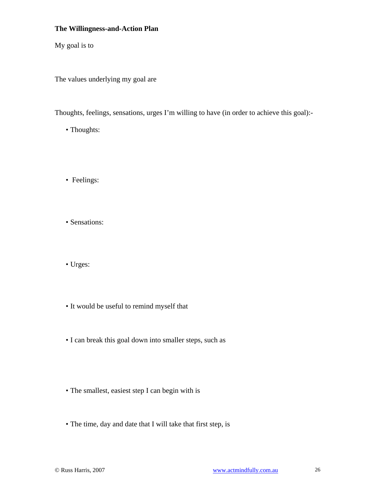# **The Willingness-and-Action Plan**

My goal is to

The values underlying my goal are

Thoughts, feelings, sensations, urges I'm willing to have (in order to achieve this goal):-

- Thoughts:
- Feelings:
- Sensations:
- Urges:
- It would be useful to remind myself that
- I can break this goal down into smaller steps, such as
- The smallest, easiest step I can begin with is
- The time, day and date that I will take that first step, is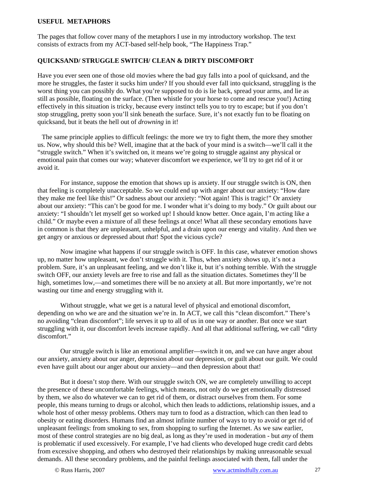#### **USEFUL METAPHORS**

The pages that follow cover many of the metaphors I use in my introductory workshop. The text consists of extracts from my ACT-based self-help book, "The Happiness Trap."

#### **QUICKSAND/ STRUGGLE SWITCH/ CLEAN & DIRTY DISCOMFORT**

Have you ever seen one of those old movies where the bad guy falls into a pool of quicksand, and the more he struggles, the faster it sucks him under? If you should ever fall into quicksand, struggling is the worst thing you can possibly do. What you're supposed to do is lie back, spread your arms, and lie as still as possible, floating on the surface. (Then whistle for your horse to come and rescue you!) Acting effectively in this situation is tricky, because every instinct tells you to try to escape; but if you don't stop struggling, pretty soon you'll sink beneath the surface. Sure, it's not exactly fun to be floating on quicksand, but it beats the hell out of *drowning* in it!

The same principle applies to difficult feelings: the more we try to fight them, the more they smother us. Now, why should this be? Well, imagine that at the back of your mind is a switch—we'll call it the "struggle switch." When it's switched on, it means we're going to struggle against any physical or emotional pain that comes our way; whatever discomfort we experience, we'll try to get rid of it or avoid it.

For instance, suppose the emotion that shows up is anxiety. If our struggle switch is ON, then that feeling is completely unacceptable. So we could end up with anger about our anxiety: "How dare they make me feel like this!" Or sadness about our anxiety: "Not again! This is tragic!" Or anxiety about our anxiety: "This can't be good for me. I wonder what it's doing to my body." Or guilt about our anxiety: "I shouldn't let myself get so worked up! I should know better. Once again, I'm acting like a child." Or maybe even a mixture of all these feelings at once! What all these secondary emotions have in common is that they are unpleasant, unhelpful, and a drain upon our energy and vitality. And then we get angry or anxious or depressed about *that*! Spot the vicious cycle?

Now imagine what happens if our struggle switch is OFF. In this case, whatever emotion shows up, no matter how unpleasant, we don't struggle with it. Thus, when anxiety shows up, it's not a problem. Sure, it's an unpleasant feeling, and we don't like it, but it's nothing terrible. With the struggle switch OFF, our anxiety levels are free to rise and fall as the situation dictates. Sometimes they'll be high, sometimes low,—and sometimes there will be no anxiety at all. But more importantly, we're not wasting our time and energy struggling with it.

Without struggle, what we get is a natural level of physical and emotional discomfort, depending on who we are and the situation we're in. In ACT, we call this "clean discomfort." There's no avoiding "clean discomfort"; life serves it up to all of us in one way or another. But once we start struggling with it, our discomfort levels increase rapidly. And all that additional suffering, we call "dirty discomfort."

Our struggle switch is like an emotional amplifier—switch it on, and we can have anger about our anxiety, anxiety about our anger, depression about our depression, or guilt about our guilt. We could even have guilt about our anger about our anxiety—and then depression about that!

But it doesn't stop there. With our struggle switch ON, we are completely unwilling to accept the presence of these uncomfortable feelings, which means, not only do we get emotionally distressed by them, we also do whatever we can to get rid of them, or distract ourselves from them. For some people, this means turning to drugs or alcohol, which then leads to addictions, relationship issues, and a whole host of other messy problems. Others may turn to food as a distraction, which can then lead to obesity or eating disorders. Humans find an almost infinite number of ways to try to avoid or get rid of unpleasant feelings: from smoking to sex, from shopping to surfing the Internet. As we saw earlier, most of these control strategies are no big deal, as long as they're used in moderation - but *any* of them is problematic if used excessively. For example, I've had clients who developed huge credit card debts from excessive shopping, and others who destroyed their relationships by making unreasonable sexual demands. All these secondary problems, and the painful feelings associated with them, fall under the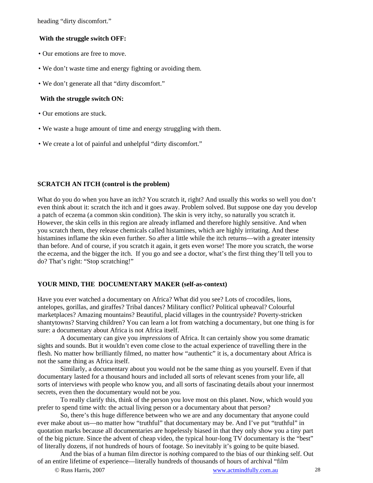heading "dirty discomfort."

#### **With the struggle switch OFF:**

- Our emotions are free to move.
- We don't waste time and energy fighting or avoiding them.
- We don't generate all that "dirty discomfort."

#### **With the struggle switch ON:**

- Our emotions are stuck.
- We waste a huge amount of time and energy struggling with them.
- We create a lot of painful and unhelpful "dirty discomfort."

#### **SCRATCH AN ITCH (control is the problem)**

What do you do when you have an itch? You scratch it, right? And usually this works so well you don't even think about it: scratch the itch and it goes away. Problem solved. But suppose one day you develop a patch of eczema (a common skin condition). The skin is very itchy, so naturally you scratch it. However, the skin cells in this region are already inflamed and therefore highly sensitive. And when you scratch them, they release chemicals called histamines, which are highly irritating. And these histamines inflame the skin even further. So after a little while the itch returns—with a greater intensity than before. And of course, if you scratch it again, it gets even worse! The more you scratch, the worse the eczema, and the bigger the itch. If you go and see a doctor, what's the first thing they'll tell you to do? That's right: "Stop scratching!"

#### **YOUR MIND, THE DOCUMENTARY MAKER (self-as-context)**

Have you ever watched a documentary on Africa? What did you see? Lots of crocodiles, lions, antelopes, gorillas, and giraffes? Tribal dances? Military conflict? Political upheaval? Colourful marketplaces? Amazing mountains? Beautiful, placid villages in the countryside? Poverty-stricken shantytowns? Starving children? You can learn a lot from watching a documentary, but one thing is for sure: a documentary about Africa is not Africa itself.

A documentary can give you *impressions* of Africa. It can certainly show you some dramatic sights and sounds. But it wouldn't even come close to the actual experience of travelling there in the flesh. No matter how brilliantly filmed, no matter how "authentic" it is, a documentary about Africa is not the same thing as Africa itself.

Similarly, a documentary about you would not be the same thing as you yourself. Even if that documentary lasted for a thousand hours and included all sorts of relevant scenes from your life, all sorts of interviews with people who know you, and all sorts of fascinating details about your innermost secrets, even then the documentary would not be *you.*

To really clarify this, think of the person you love most on this planet. Now, which would you prefer to spend time with: the actual living person or a documentary about that person?

So, there's this huge difference between who we are and any documentary that anyone could ever make about us—no matter how "truthful" that documentary may be. And I've put "truthful" in quotation marks because all documentaries are hopelessly biased in that they only show you a tiny part of the big picture. Since the advent of cheap video, the typical hour-long TV documentary is the "best" of literally dozens, if not hundreds of hours of footage. So inevitably it's going to be quite biased.

And the bias of a human film director is *nothing* compared to the bias of our thinking self. Out of an entire lifetime of experience—literally hundreds of thousands of hours of archival "film © Russ Harris, 2007 www.actmindfully.com.au 28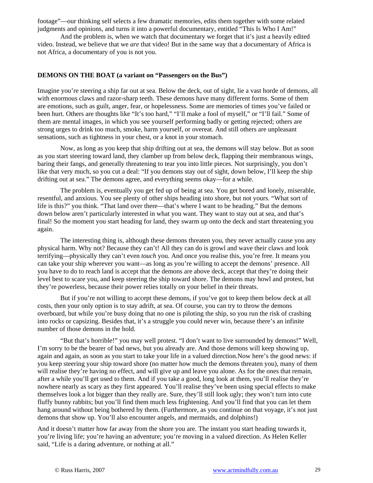footage"—our thinking self selects a few dramatic memories, edits them together with some related judgments and opinions, and turns it into a powerful documentary, entitled "This Is Who I Am!"

And the problem is, when we watch that documentary we forget that it's just a heavily edited video. Instead, we believe that we *are* that video! But in the same way that a documentary of Africa is not Africa, a documentary of you is not you.

#### **DEMONS ON THE BOAT (a variant on "Passengers on the Bus")**

Imagine you're steering a ship far out at sea. Below the deck, out of sight, lie a vast horde of demons, all with enormous claws and razor-sharp teeth. These demons have many different forms. Some of them are emotions, such as guilt, anger, fear, or hopelessness. Some are memories of times you've failed or been hurt. Others are thoughts like "It's too hard," "I'll make a fool of myself," or "I'll fail." Some of them are mental images, in which you see yourself performing badly or getting rejected; others are strong urges to drink too much, smoke, harm yourself, or overeat. And still others are unpleasant sensations, such as tightness in your chest, or a knot in your stomach.

Now, as long as you keep that ship drifting out at sea, the demons will stay below. But as soon as you start steering toward land, they clamber up from below deck, flapping their membranous wings, baring their fangs, and generally threatening to tear you into little pieces. Not surprisingly, you don't like that very much, so you cut a deal: "If you demons stay out of sight, down below, I'll keep the ship drifting out at sea." The demons agree, and everything seems okay—for a while.

The problem is, eventually you get fed up of being at sea. You get bored and lonely, miserable, resentful, and anxious. You see plenty of other ships heading into shore, but not yours. "What sort of life is this?" you think. "That land over there—that's where I want to be heading." But the demons down below aren't particularly interested in what you want. They want to stay out at sea, and that's final! So the moment you start heading for land, they swarm up onto the deck and start threatening you again.

The interesting thing is, although these demons threaten you, they never actually cause you any physical harm. Why not? Because they can't! All they can do is growl and wave their claws and look terrifying—physically they can't even *touch* you. And once you realise this, you're free. It means you can take your ship wherever you want—as long as you're willing to accept the demons' presence. All you have to do to reach land is accept that the demons are above deck, accept that they're doing their level best to scare you, and keep steering the ship toward shore. The demons may howl and protest, but they're powerless, because their power relies totally on your belief in their threats.

But if you're not willing to accept these demons, if you've got to keep them below deck at all costs, then your only option is to stay adrift, at sea. Of course, you can try to throw the demons overboard, but while you're busy doing that no one is piloting the ship, so you run the risk of crashing into rocks or capsizing. Besides that, it's a struggle you could never win, because there's an infinite number of those demons in the hold.

"But that's horrible!" you may well protest. "I don't want to live surrounded by demons!" Well, I'm sorry to be the bearer of bad news, but you already are. And those demons will keep showing up, again and again, as soon as you start to take your life in a valued direction.Now here's the good news: if you keep steering your ship toward shore (no matter how much the demons threaten you), many of them will realise they're having no effect, and will give up and leave you alone. As for the ones that remain, after a while you'll get used to them. And if you take a good, long look at them, you'll realise they're nowhere nearly as scary as they first appeared. You'll realise they've been using special effects to make themselves look a lot bigger than they really are. Sure, they'll still look ugly; they won't turn into cute fluffy bunny rabbits; but you'll find them much less frightening. And you'll find that you can let them hang around without being bothered by them. (Furthermore, as you continue on that voyage, it's not just demons that show up. You'll also encounter angels, and mermaids, and dolphins!)

And it doesn't matter how far away from the shore you are. The instant you start heading towards it, you're living life; you're having an adventure; you're moving in a valued direction. As Helen Keller said, "Life is a daring adventure, or nothing at all."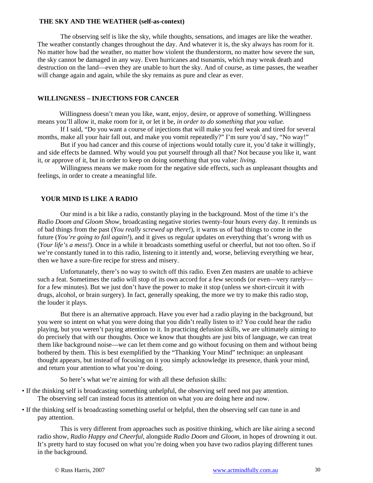#### **THE SKY AND THE WEATHER (self-as-context)**

The observing self is like the sky, while thoughts, sensations, and images are like the weather. The weather constantly changes throughout the day. And whatever it is, the sky always has room for it. No matter how bad the weather, no matter how violent the thunderstorm, no matter how severe the sun, the sky cannot be damaged in any way. Even hurricanes and tsunamis, which may wreak death and destruction on the land—even they are unable to hurt the sky. And of course, as time passes, the weather will change again and again, while the sky remains as pure and clear as ever.

#### **WILLINGNESS – INJECTIONS FOR CANCER**

Willingness doesn't mean you like, want, enjoy, desire, or approve of something. Willingness means you'll allow it, make room for it, or let it be, *in order to do something that you value.*

If I said, "Do you want a course of injections that will make you feel weak and tired for several months, make all your hair fall out, and make you vomit repeatedly?" I'm sure you'd say, "No way!"

But if you had cancer and this course of injections would totally cure it, you'd take it willingly, and side effects be damned. Why would you put yourself through all that? Not because you like it, want it, or approve of it, but in order to keep on doing something that you value: *living.*

Willingness means we make room for the negative side effects, such as unpleasant thoughts and feelings, in order to create a meaningful life.

#### **YOUR MIND IS LIKE A RADIO**

Our mind is a bit like a radio, constantly playing in the background. Most of the time it's the *Radio Doom and Gloom Show,* broadcasting negative stories twenty-four hours every day. It reminds us of bad things from the past (*You really screwed up there!*), it warns us of bad things to come in the future (*You're going to fail again!*), and it gives us regular updates on everything that's wrong with us (*Your life's a mess!*). Once in a while it broadcasts something useful or cheerful, but not too often. So if we're constantly tuned in to this radio, listening to it intently and, worse, believing everything we hear, then we have a sure-fire recipe for stress and misery.

Unfortunately, there's no way to switch off this radio. Even Zen masters are unable to achieve such a feat. Sometimes the radio will stop of its own accord for a few seconds (or even—very rarely for a few minutes). But we just don't have the power to make it stop (unless we short-circuit it with drugs, alcohol, or brain surgery). In fact, generally speaking, the more we try to make this radio stop, the louder it plays.

But there is an alternative approach. Have you ever had a radio playing in the background, but you were so intent on what you were doing that you didn't really listen to it? You could hear the radio playing, but you weren't paying attention to it. In practicing defusion skills, we are ultimately aiming to do precisely that with our thoughts. Once we know that thoughts are just bits of language, we can treat them like background noise—we can let them come and go without focusing on them and without being bothered by them. This is best exemplified by the "Thanking Your Mind" technique: an unpleasant thought appears, but instead of focusing on it you simply acknowledge its presence, thank your mind, and return your attention to what you're doing.

So here's what we're aiming for with all these defusion skills:

• If the thinking self is broadcasting something unhelpful, the observing self need not pay attention. The observing self can instead focus its attention on what you are doing here and now.

• If the thinking self is broadcasting something useful or helpful, then the observing self can tune in and pay attention.

This is very different from approaches such as positive thinking, which are like airing a second radio show, *Radio Happy and Cheerful,* alongside *Radio Doom and Gloom,* in hopes of drowning it out. It's pretty hard to stay focused on what you're doing when you have two radios playing different tunes in the background.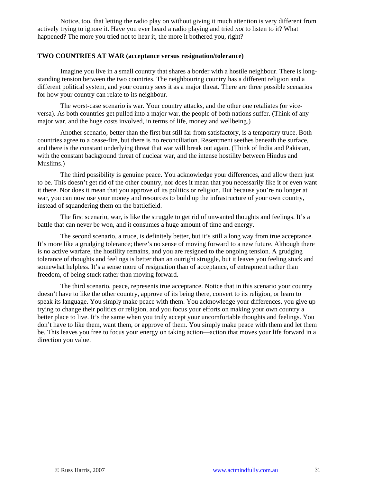Notice, too, that letting the radio play on without giving it much attention is very different from actively trying to ignore it. Have you ever heard a radio playing and tried *not* to listen to it? What happened? The more you tried not to hear it, the more it bothered you, right?

#### **TWO COUNTRIES AT WAR (acceptance versus resignation/tolerance)**

Imagine you live in a small country that shares a border with a hostile neighbour. There is longstanding tension between the two countries. The neighbouring country has a different religion and a different political system, and your country sees it as a major threat. There are three possible scenarios for how your country can relate to its neighbour.

The worst-case scenario is war. Your country attacks, and the other one retaliates (or viceversa). As both countries get pulled into a major war, the people of both nations suffer. (Think of any major war, and the huge costs involved, in terms of life, money and wellbeing.)

Another scenario, better than the first but still far from satisfactory, is a temporary truce. Both countries agree to a cease-fire, but there is no reconciliation. Resentment seethes beneath the surface, and there is the constant underlying threat that war will break out again. (Think of India and Pakistan, with the constant background threat of nuclear war, and the intense hostility between Hindus and Muslims.)

The third possibility is genuine peace. You acknowledge your differences, and allow them just to be. This doesn't get rid of the other country, nor does it mean that you necessarily like it or even want it there. Nor does it mean that you approve of its politics or religion. But because you're no longer at war, you can now use your money and resources to build up the infrastructure of your own country, instead of squandering them on the battlefield.

The first scenario, war, is like the struggle to get rid of unwanted thoughts and feelings. It's a battle that can never be won, and it consumes a huge amount of time and energy.

The second scenario, a truce, is definitely better, but it's still a long way from true acceptance. It's more like a grudging tolerance; there's no sense of moving forward to a new future. Although there is no active warfare, the hostility remains, and you are resigned to the ongoing tension. A grudging tolerance of thoughts and feelings is better than an outright struggle, but it leaves you feeling stuck and somewhat helpless. It's a sense more of resignation than of acceptance, of entrapment rather than freedom, of being stuck rather than moving forward.

The third scenario, peace, represents true acceptance. Notice that in this scenario your country doesn't have to like the other country, approve of its being there, convert to its religion, or learn to speak its language. You simply make peace with them. You acknowledge your differences, you give up trying to change their politics or religion, and you focus your efforts on making your own country a better place to live. It's the same when you truly accept your uncomfortable thoughts and feelings. You don't have to like them, want them, or approve of them. You simply make peace with them and let them be. This leaves you free to focus your energy on taking action—action that moves your life forward in a direction you value.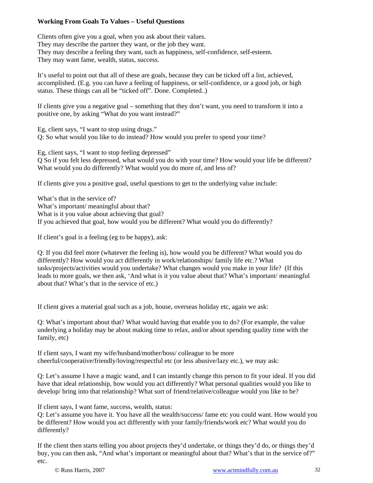#### **Working From Goals To Values – Useful Questions**

Clients often give you a goal, when you ask about their values. They may describe the partner they want, or the job they want. They may describe a feeling they want, such as happiness, self-confidence, self-esteem. They may want fame, wealth, status, success.

It's useful to point out that all of these are goals, because they can be ticked off a list, achieved, accomplished. (E.g. you can have a feeling of happiness, or self-confidence, or a good job, or high status. These things can all be "ticked off". Done. Completed..)

If clients give you a negative goal – something that they don't want, you need to transform it into a positive one, by asking "What do you want instead?"

Eg, client says, "I want to stop using drugs." Q: So what would you like to do instead? How would you prefer to spend your time?

Eg, client says, "I want to stop feeling depressed" Q So if you felt less depressed, what would you do with your time? How would your life be different? What would you do differently? What would you do more of, and less of?

If clients give you a positive goal, useful questions to get to the underlying value include:

What's that in the service of? What's important/ meaningful about that? What is it you value about achieving that goal? If you achieved that goal, how would you be different? What would you do differently?

If client's goal is a feeling (eg to be happy), ask:

Q: If you did feel more (whatever the feeling is), how would you be different? What would you do differently? How would you act differently in work/relationships/ family life etc.? What tasks/projects/activities would you undertake? What changes would you make in your life? (If this leads to more goals, we then ask, 'And what is it you value about that? What's important/ meaningful about that? What's that in the service of etc.)

If client gives a material goal such as a job, house, overseas holiday etc, again we ask:

Q: What's important about that? What would having that enable you to do? (For example, the value underlying a holiday may be about making time to relax, and/or about spending quality time with the family, etc)

If client says, I want my wife/husband/mother/boss/ colleague to be more cheerful/cooperative/friendly/loving/respectful etc (or less abusive/lazy etc.), we may ask:

Q: Let's assume I have a magic wand, and I can instantly change this person to fit your ideal. If you did have that ideal relationship, how would you act differently? What personal qualities would you like to develop/ bring into that relationship? What sort of friend/relative/colleague would you like to be?

If client says, I want fame, success, wealth, status:

Q: Let's assume you have it. You have all the wealth/success/ fame etc you could want. How would you be different? How would you act differently with your family/friends/work etc? What would you do differently?

If the client then starts telling you about projects they'd undertake, or things they'd do, or things they'd buy, you can then ask, "And what's important or meaningful about that? What's that in the service of?" etc.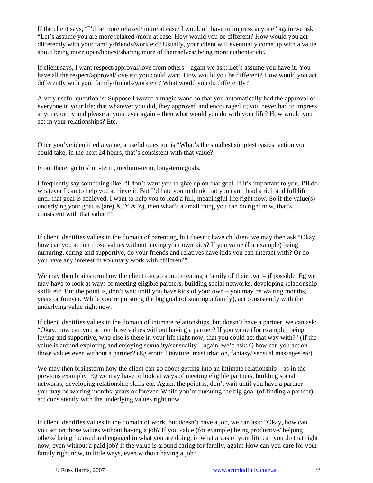If the client says, "I'd be more relaxed/ more at ease/ I wouldn't have to impress anyone" again we ask "Let's assume you are more relaxed /more at ease. How would you be different? How would you act differently with your family/friends/work etc? Usually, your client will eventually come up with a value about being more open/honest/sharing more of themselves/ being more authentic etc.

If client says, I want respect/approval/love from others – again we ask: Let's assume you have it. You have all the respect/approval/love etc you could want. How would you be different? How would you act differently with your family/friends/work etc? What would you do differently?

A very useful question is: Suppose I waved a magic wand so that you automatically had the approval of everyone in your life; that whatever you did, they approved and encouraged it; you never had to impress anyone, or try and please anyone ever again – then what would you do with your life? How would you act in your relationships? Etc.

Once you've identified a value, a useful question is "What's the smallest simplest easiest action you could take, in the next 24 hours, that's consistent with that value?

From there, go to short-term, medium-term, long-term goals.

I frequently say something like, "I don't want you to give up on that goal. If it's important to you, I'll do whatever I can to help you achieve it. But I'd hate you to think that you can't lead a rich and full life until that goal is achieved. I want to help you to lead a full, meaningful life right now. So if the value(s) underlying your goal is (are)  $X, (Y \& Z)$ , then what's a small thing you can do right now, that's consistent with that value?"

If client identifies values in the domain of parenting, but doesn't have children, we may then ask "Okay, how can you act on those values without having your own kids? If you value (for example) being nurturing, caring and supportive, do your friends and relatives have kids you can interact with? Or do you have any interest in voluntary work with children?"

We may then brainstorm how the client can go about creating a family of their own – if possible. Eg we may have to look at ways of meeting eligible partners, building social networks, developing relationship skills etc. But the point is, don't wait until you have kids of your own – you may be waiting months, years or forever. While you're pursuing the big goal (of starting a family), act consistently with the underlying value right now.

If client identifies values in the domain of intimate relationships, but doesn't have a partner, we can ask: "Okay, how can you act on those values without having a partner? If you value (for example) being loving and supportive, who else is there in your life right now, that you could act that way with?" (If the value is around exploring and enjoying sexuality/sensuality – again, we'd ask: Q how can you act on those values even without a partner? (Eg erotic literature, masturbation, fantasy/ sensual massages etc)

We may then brainstorm how the client can go about getting into an intimate relationship – as in the previous example. Eg we may have to look at ways of meeting eligible partners, building social networks, developing relationship skills etc. Again, the point is, don't wait until you have a partner – you may be waiting months, years or forever. While you're pursuing the big goal (of finding a partner), act consistently with the underlying values right now.

If client identifies values in the domain of work, but doesn't have a job, we can ask: "Okay, how can you act on those values without having a job? If you value (for example) being productive/ helping others/ being focused and engaged in what you are doing, in what areas of your life can you do that right now, even without a paid job? If the value is around caring for family, again: How can you care for your family right now, in little ways, even without having a job?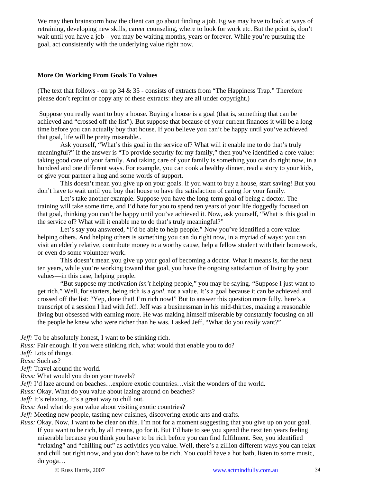We may then brainstorm how the client can go about finding a job. Eg we may have to look at ways of retraining, developing new skills, career counseling, where to look for work etc. But the point is, don't wait until you have a job – you may be waiting months, years or forever. While you're pursuing the goal, act consistently with the underlying value right now.

#### **More On Working From Goals To Values**

(The text that follows - on pp 34 & 35 - consists of extracts from "The Happiness Trap." Therefore please don't reprint or copy any of these extracts: they are all under copyright.)

 Suppose you really want to buy a house. Buying a house is a goal (that is, something that can be achieved and "crossed off the list"). But suppose that because of your current finances it will be a long time before you can actually buy that house. If you believe you can't be happy until you've achieved that goal, life will be pretty miserable..

Ask yourself, "What's this goal in the service of? What will it enable me to do that's truly meaningful?" If the answer is "To provide security for my family," then you've identified a core value: taking good care of your family. And taking care of your family is something you can do right now, in a hundred and one different ways. For example, you can cook a healthy dinner, read a story to your kids, or give your partner a hug and some words of support.

This doesn't mean you give up on your goals. If you want to buy a house, start saving! But you don't have to wait until you buy that house to have the satisfaction of caring for your family.

Let's take another example. Suppose you have the long-term goal of being a doctor. The training will take some time, and I'd hate for you to spend ten years of your life doggedly focused on that goal, thinking you can't be happy until you've achieved it. Now, ask yourself, "What is this goal in the service of? What will it enable me to do that's truly meaningful?"

Let's say you answered, "I'd be able to help people." Now you've identified a core value: helping others. And helping others is something you can do right now, in a myriad of ways: you can visit an elderly relative, contribute money to a worthy cause, help a fellow student with their homework, or even do some volunteer work.

This doesn't mean you give up your goal of becoming a doctor. What it means is, for the next ten years, while you're working toward that goal, you have the ongoing satisfaction of living by your values—in this case, helping people.

"But suppose my motivation *isn't* helping people," you may be saying. "Suppose I just want to get rich." Well, for starters, being rich is a *goal,* not a value. It's a goal because it can be achieved and crossed off the list: "Yep, done that! I'm rich now!" But to answer this question more fully, here's a transcript of a session I had with Jeff. Jeff was a businessman in his mid-thirties, making a reasonable living but obsessed with earning more. He was making himself miserable by constantly focusing on all the people he knew who were richer than he was. I asked Jeff, "What do you *really* want?"

*Jeff:* To be absolutely honest, I want to be stinking rich.

*Russ:* Fair enough. If you were stinking rich, what would that enable you to do?

*Jeff:* Lots of things.

*Russ:* Such as?

*Jeff:* Travel around the world.

*Russ:* What would you do on your travels?

*Jeff:* I'd laze around on beaches...explore exotic countries...visit the wonders of the world.

*Russ:* Okay. What do you value about lazing around on beaches?

*Jeff:* It's relaxing. It's a great way to chill out.

*Russ:* And what do you value about visiting exotic countries?

*Jeff:* Meeting new people, tasting new cuisines, discovering exotic arts and crafts.

*Russ:* Okay. Now, I want to be clear on this. I'm not for a moment suggesting that you give up on your goal. If you want to be rich, by all means, go for it. But I'd hate to see you spend the next ten years feeling miserable because you think you have to be rich before you can find fulfilment. See, you identified "relaxing" and "chilling out" as activities you value. Well, there's a zillion different ways you can relax and chill out right now, and you don't have to be rich. You could have a hot bath, listen to some music, do yoga…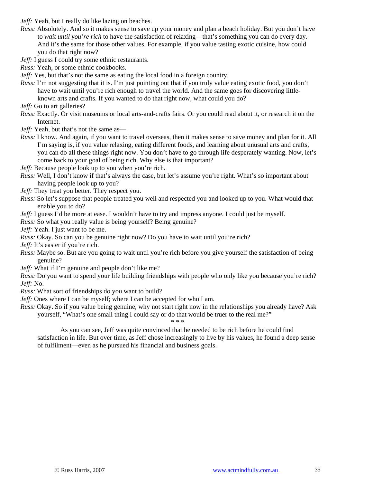- *Jeff:* Yeah, but I really do like lazing on beaches.
- *Russ:* Absolutely. And so it makes sense to save up your money and plan a beach holiday. But you don't have to *wait until you're rich* to have the satisfaction of relaxing—that's something you can do every day. And it's the same for those other values. For example, if you value tasting exotic cuisine, how could you do that right now?
- *Jeff:* I guess I could try some ethnic restaurants.
- *Russ:* Yeah, or some ethnic cookbooks.
- *Jeff:* Yes, but that's not the same as eating the local food in a foreign country.
- *Russ:* I'm not suggesting that it is. I'm just pointing out that if you truly value eating exotic food, you don't have to wait until you're rich enough to travel the world. And the same goes for discovering littleknown arts and crafts. If you wanted to do that right now, what could you do?
- *Jeff:* Go to art galleries?
- *Russ:* Exactly. Or visit museums or local arts-and-crafts fairs. Or you could read about it, or research it on the Internet.
- *Jeff:* Yeah, but that's not the same as—
- *Russ:* I know. And again, if you want to travel overseas, then it makes sense to save money and plan for it. All I'm saying is, if you value relaxing, eating different foods, and learning about unusual arts and crafts, you can do all these things right now. You don't have to go through life desperately wanting. Now, let's come back to your goal of being rich. Why else is that important?
- *Jeff*: Because people look up to you when you're rich.
- *Russ:* Well, I don't know if that's always the case, but let's assume you're right. What's so important about having people look up to you?
- *Jeff:* They treat you better. They respect you.
- *Russ:* So let's suppose that people treated you well and respected you and looked up to you. What would that enable you to do?
- *Jeff:* I guess I'd be more at ease. I wouldn't have to try and impress anyone. I could just be myself.

*Russ:* So what you really value is being yourself? Being genuine?

- *Jeff:* Yeah. I just want to be me.
- *Russ:* Okay. So can you be genuine right now? Do you have to wait until you're rich?
- *Jeff:* It's easier if you're rich.
- *Russ:* Maybe so. But are you going to wait until you're rich before you give yourself the satisfaction of being genuine?
- *Jeff:* What if I'm genuine and people don't like me?
- *Russ:* Do you want to spend your life building friendships with people who only like you because you're rich? *Jeff:* No.
- *Russ:* What sort of friendships do you want to build?
- *Jeff:* Ones where I can be myself; where I can be accepted for who I am.
- *Russ:* Okay. So if you value being genuine, why not start right now in the relationships you already have? Ask yourself, "What's one small thing I could say or do that would be truer to the real me?"

\* \* \*

As you can see, Jeff was quite convinced that he needed to be rich before he could find satisfaction in life. But over time, as Jeff chose increasingly to live by his values, he found a deep sense of fulfilment—even as he pursued his financial and business goals.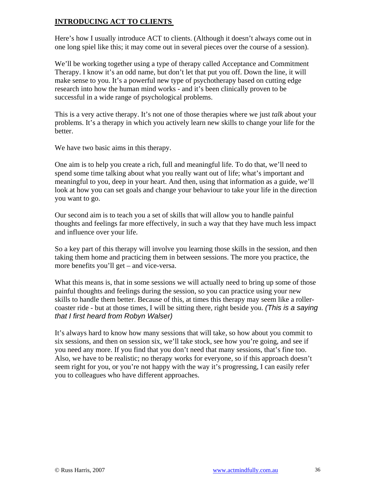# **INTRODUCING ACT TO CLIENTS**

Here's how I usually introduce ACT to clients. (Although it doesn't always come out in one long spiel like this; it may come out in several pieces over the course of a session).

We'll be working together using a type of therapy called Acceptance and Commitment Therapy. I know it's an odd name, but don't let that put you off. Down the line, it will make sense to you. It's a powerful new type of psychotherapy based on cutting edge research into how the human mind works - and it's been clinically proven to be successful in a wide range of psychological problems.

This is a very active therapy. It's not one of those therapies where we just *talk* about your problems. It's a therapy in which you actively learn new skills to change your life for the better.

We have two basic aims in this therapy.

One aim is to help you create a rich, full and meaningful life. To do that, we'll need to spend some time talking about what you really want out of life; what's important and meaningful to you, deep in your heart. And then, using that information as a guide, we'll look at how you can set goals and change your behaviour to take your life in the direction you want to go.

Our second aim is to teach you a set of skills that will allow you to handle painful thoughts and feelings far more effectively, in such a way that they have much less impact and influence over your life.

So a key part of this therapy will involve you learning those skills in the session, and then taking them home and practicing them in between sessions. The more you practice, the more benefits you'll get – and vice-versa.

What this means is, that in some sessions we will actually need to bring up some of those painful thoughts and feelings during the session, so you can practice using your new skills to handle them better. Because of this, at times this therapy may seem like a rollercoaster ride - but at those times, I will be sitting there, right beside you. *(This is a saying that I first heard from Robyn Walser)*

It's always hard to know how many sessions that will take, so how about you commit to six sessions, and then on session six, we'll take stock, see how you're going, and see if you need any more. If you find that you don't need that many sessions, that's fine too. Also, we have to be realistic; no therapy works for everyone, so if this approach doesn't seem right for you, or you're not happy with the way it's progressing, I can easily refer you to colleagues who have different approaches.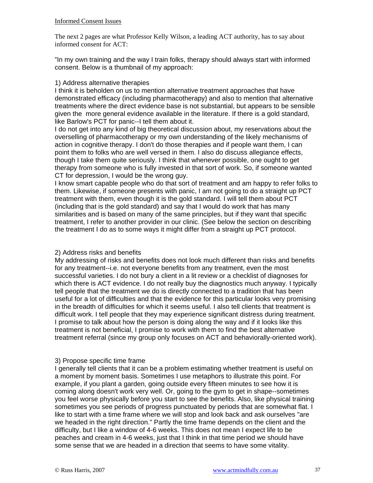#### Informed Consent Issues

The next 2 pages are what Professor Kelly Wilson, a leading ACT authority, has to say about informed consent for ACT:

"In my own training and the way I train folks, therapy should always start with informed consent. Below is a thumbnail of my approach:

#### 1) Address alternative therapies

I think it is beholden on us to mention alternative treatment approaches that have demonstrated efficacy (including pharmacotherapy) and also to mention that alternative treatments where the direct evidence base is not substantial, but appears to be sensible given the more general evidence available in the literature. If there is a gold standard, like Barlow's PCT for panic--I tell them about it.

I do not get into any kind of big theoretical discussion about, my reservations about the overselling of pharmacotherapy or my own understanding of the likely mechanisms of action in cognitive therapy. I don't do those therapies and if people want them, I can point them to folks who are well versed in them. I also do discuss allegiance effects, though I take them quite seriously. I think that whenever possible, one ought to get therapy from someone who is fully invested in that sort of work. So, if someone wanted CT for depression, I would be the wrong guy.

I know smart capable people who do that sort of treatment and am happy to refer folks to them. Likewise, if someone presents with panic, I am not going to do a straight up PCT treatment with them, even though it is the gold standard. I will tell them about PCT (including that is the gold standard) and say that I would do work that has many similarities and is based on many of the same principles, but if they want that specific treatment, I refer to another provider in our clinic. (See below the section on describing the treatment I do as to some ways it might differ from a straight up PCT protocol.

#### 2) Address risks and benefits

My addressing of risks and benefits does not look much different than risks and benefits for any treatment--i.e. not everyone benefits from any treatment, even the most successful varieties. I do not bury a client in a lit review or a checklist of diagnoses for which there is ACT evidence. I do not really buy the diagnostics much anyway. I typically tell people that the treatment we do is directly connected to a tradition that has been useful for a lot of difficulties and that the evidence for this particular looks very promising in the breadth of difficulties for which it seems useful. I also tell clients that treatment is difficult work. I tell people that they may experience significant distress during treatment. I promise to talk about how the person is doing along the way and if it looks like this treatment is not beneficial, I promise to work with them to find the best alternative treatment referral (since my group only focuses on ACT and behaviorally-oriented work).

#### 3) Propose specific time frame

I generally tell clients that it can be a problem estimating whether treatment is useful on a moment by moment basis. Sometimes I use metaphors to illustrate this point. For example, if you plant a garden, going outside every fifteen minutes to see how it is coming along doesn't work very well. Or, going to the gym to get in shape--sometimes you feel worse physically before you start to see the benefits. Also, like physical training sometimes you see periods of progress punctuated by periods that are somewhat flat. I like to start with a time frame where we will stop and look back and ask ourselves "are we headed in the right direction." Partly the time frame depends on the client and the difficulty, but I like a window of 4-6 weeks. This does not mean I expect life to be peaches and cream in 4-6 weeks, just that I think in that time period we should have some sense that we are headed in a direction that seems to have some vitality.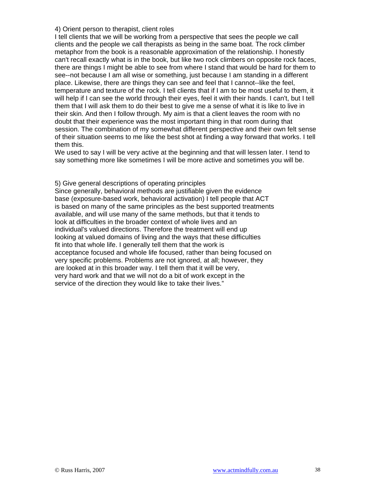#### 4) Orient person to therapist, client roles

I tell clients that we will be working from a perspective that sees the people we call clients and the people we call therapists as being in the same boat. The rock climber metaphor from the book is a reasonable approximation of the relationship. I honestly can't recall exactly what is in the book, but like two rock climbers on opposite rock faces, there are things I might be able to see from where I stand that would be hard for them to see--not because I am all wise or something, just because I am standing in a different place. Likewise, there are things they can see and feel that I cannot--like the feel, temperature and texture of the rock. I tell clients that if I am to be most useful to them, it will help if I can see the world through their eyes, feel it with their hands. I can't, but I tell them that I will ask them to do their best to give me a sense of what it is like to live in their skin. And then I follow through. My aim is that a client leaves the room with no doubt that their experience was the most important thing in that room during that session. The combination of my somewhat different perspective and their own felt sense of their situation seems to me like the best shot at finding a way forward that works. I tell them this.

We used to say I will be very active at the beginning and that will lessen later. I tend to say something more like sometimes I will be more active and sometimes you will be.

5) Give general descriptions of operating principles

Since generally, behavioral methods are justifiable given the evidence base (exposure-based work, behavioral activation) I tell people that ACT is based on many of the same principles as the best supported treatments available, and will use many of the same methods, but that it tends to look at difficulties in the broader context of whole lives and an individual's valued directions. Therefore the treatment will end up looking at valued domains of living and the ways that these difficulties fit into that whole life. I generally tell them that the work is acceptance focused and whole life focused, rather than being focused on very specific problems. Problems are not ignored, at all; however, they are looked at in this broader way. I tell them that it will be very, very hard work and that we will not do a bit of work except in the service of the direction they would like to take their lives."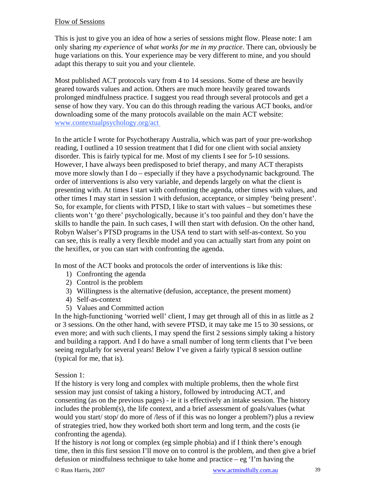#### Flow of Sessions

This is just to give you an idea of how a series of sessions might flow. Please note: I am only sharing *my experience* of *what works for me in my practice*. There can, obviously be huge variations on this. Your experience may be very different to mine, and you should adapt this therapy to suit you and your clientele.

Most published ACT protocols vary from 4 to 14 sessions. Some of these are heavily geared towards values and action. Others are much more heavily geared towards prolonged mindfulness practice. I suggest you read through several protocols and get a sense of how they vary. You can do this through reading the various ACT books, and/or downloading some of the many protocols available on the main ACT website: [www.contextualpsychology.org](http://www.contextualpsychology.org/)/act

In the article I wrote for Psychotherapy Australia, which was part of your pre-workshop reading, I outlined a 10 session treatment that I did for one client with social anxiety disorder. This is fairly typical for me. Most of my clients I see for 5-10 sessions. However, I have always been predisposed to brief therapy, and many ACT therapists move more slowly than I do – especially if they have a psychodynamic background. The order of interventions is also very variable, and depends largely on what the client is presenting with. At times I start with confronting the agenda, other times with values, and other times I may start in session 1 with defusion, acceptance, or simpley 'being present'. So, for example, for clients with PTSD, I like to start with values – but sometimes these clients won't 'go there' psychologically, because it's too painful and they don't have the skills to handle the pain. In such cases, I will then start with defusion. On the other hand, Robyn Walser's PTSD programs in the USA tend to start with self-as-context. So you can see, this is really a very flexible model and you can actually start from any point on the hexiflex, or you can start with confronting the agenda.

In most of the ACT books and protocols the order of interventions is like this:

- 1) Confronting the agenda
- 2) Control is the problem
- 3) Willingness is the alternative (defusion, acceptance, the present moment)
- 4) Self-as-context
- 5) Values and Committed action

In the high-functioning 'worried well' client, I may get through all of this in as little as 2 or 3 sessions. On the other hand, with severe PTSD, it may take me 15 to 30 sessions, or even more; and with such clients, I may spend the first 2 sessions simply taking a history and building a rapport. And I do have a small number of long term clients that I've been seeing regularly for several years! Below I've given a fairly typical 8 session outline (typical for me, that is).

#### Session 1:

If the history is very long and complex with multiple problems, then the whole first session may just consist of taking a history, followed by introducing ACT, and consenting (as on the previous pages) - ie it is effectively an intake session. The history includes the problem(s), the life context, and a brief assessment of goals/values (what would you start/ stop/ do more of /less of if this was no longer a problem?) plus a review of strategies tried, how they worked both short term and long term, and the costs (ie confronting the agenda).

If the history is *not* long or complex (eg simple phobia) and if I think there's enough time, then in this first session I'll move on to control is the problem, and then give a brief defusion or mindfulness technique to take home and practice  $-$  eg 'I'm having the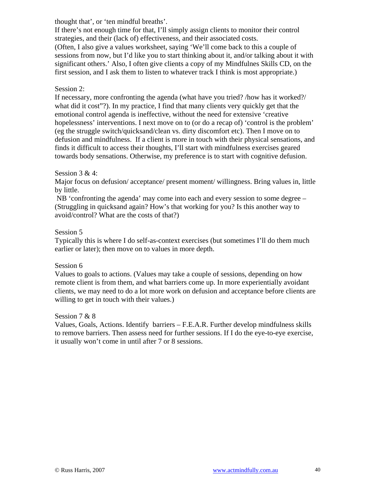thought that', or 'ten mindful breaths'.

If there's not enough time for that, I'll simply assign clients to monitor their control strategies, and their (lack of) effectiveness, and their associated costs. (Often, I also give a values worksheet, saying 'We'll come back to this a couple of sessions from now, but I'd like you to start thinking about it, and/or talking about it with significant others.' Also, I often give clients a copy of my Mindfulnes Skills CD, on the first session, and I ask them to listen to whatever track I think is most appropriate.)

# Session 2:

If necessary, more confronting the agenda (what have you tried? /how has it worked?/ what did it cost"?). In my practice, I find that many clients very quickly get that the emotional control agenda is ineffective, without the need for extensive 'creative hopelessness' interventions. I next move on to (or do a recap of) 'control is the problem' (eg the struggle switch/quicksand/clean vs. dirty discomfort etc). Then I move on to defusion and mindfulness. If a client is more in touch with their physical sensations, and finds it difficult to access their thoughts, I'll start with mindfulness exercises geared towards body sensations. Otherwise, my preference is to start with cognitive defusion.

#### Session 3 & 4:

Major focus on defusion/ acceptance/ present moment/ willingness. Bring values in, little by little.

 NB 'confronting the agenda' may come into each and every session to some degree – (Struggling in quicksand again? How's that working for you? Is this another way to avoid/control? What are the costs of that?)

### Session 5

Typically this is where I do self-as-context exercises (but sometimes I'll do them much earlier or later); then move on to values in more depth.

#### Session 6

Values to goals to actions. (Values may take a couple of sessions, depending on how remote client is from them, and what barriers come up. In more experientially avoidant clients, we may need to do a lot more work on defusion and acceptance before clients are willing to get in touch with their values.)

#### Session 7 & 8

Values, Goals, Actions. Identify barriers – F.E.A.R. Further develop mindfulness skills to remove barriers. Then assess need for further sessions. If I do the eye-to-eye exercise, it usually won't come in until after 7 or 8 sessions.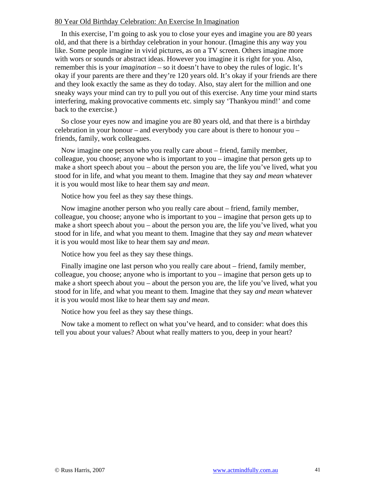#### 80 Year Old Birthday Celebration: An Exercise In Imagination

In this exercise, I'm going to ask you to close your eyes and imagine you are 80 years old, and that there is a birthday celebration in your honour. (Imagine this any way you like. Some people imagine in vivid pictures, as on a TV screen. Others imagine more with wors or sounds or abstract ideas. However you imagine it is right for you. Also, remember this is your *imagination* – so it doesn't have to obey the rules of logic. It's okay if your parents are there and they're 120 years old. It's okay if your friends are there and they look exactly the same as they do today. Also, stay alert for the million and one sneaky ways your mind can try to pull you out of this exercise. Any time your mind starts interfering, making provocative comments etc. simply say 'Thankyou mind!' and come back to the exercise.)

So close your eyes now and imagine you are 80 years old, and that there is a birthday celebration in your honour – and everybody you care about is there to honour you – friends, family, work colleagues.

Now imagine one person who you really care about – friend, family member, colleague, you choose; anyone who is important to you – imagine that person gets up to make a short speech about you – about the person you are, the life you've lived, what you stood for in life, and what you meant to them. Imagine that they say *and mean* whatever it is you would most like to hear them say *and mean*.

Notice how you feel as they say these things.

Now imagine another person who you really care about – friend, family member, colleague, you choose; anyone who is important to you – imagine that person gets up to make a short speech about you – about the person you are, the life you've lived, what you stood for in life, and what you meant to them. Imagine that they say *and mean* whatever it is you would most like to hear them say *and mean*.

Notice how you feel as they say these things.

Finally imagine one last person who you really care about – friend, family member, colleague, you choose; anyone who is important to you – imagine that person gets up to make a short speech about you – about the person you are, the life you've lived, what you stood for in life, and what you meant to them. Imagine that they say *and mean* whatever it is you would most like to hear them say *and mean*.

Notice how you feel as they say these things.

Now take a moment to reflect on what you've heard, and to consider: what does this tell you about your values? About what really matters to you, deep in your heart?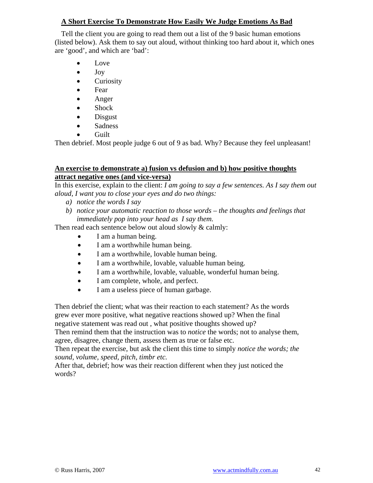# **A Short Exercise To Demonstrate How Easily We Judge Emotions As Bad**

Tell the client you are going to read them out a list of the 9 basic human emotions (listed below). Ask them to say out aloud, without thinking too hard about it, which ones are 'good', and which are 'bad':

- Love
- Joy
- Curiosity
- Fear
- Anger
- Shock
- Disgust
- Sadness
- Guilt

Then debrief. Most people judge 6 out of 9 as bad. Why? Because they feel unpleasant!

### **An exercise to demonstrate a) fusion vs defusion and b) how positive thoughts attract negative ones (and vice-versa)**

In this exercise, explain to the client: *I am going to say a few sentences. As I say them out aloud, I want you to close your eyes and do two things:* 

- *a) notice the words I say*
- *b) notice your automatic reaction to those words the thoughts and feelings that immediately pop into your head as I say them.*

Then read each sentence below out aloud slowly & calmly:

- I am a human being.
- I am a worthwhile human being.
- I am a worthwhile, lovable human being.
- I am a worthwhile, lovable, valuable human being.
- I am a worthwhile, lovable, valuable, wonderful human being.
- I am complete, whole, and perfect.
- I am a useless piece of human garbage.

Then debrief the client; what was their reaction to each statement? As the words grew ever more positive, what negative reactions showed up? When the final negative statement was read out , what positive thoughts showed up?

Then remind them that the instruction was to *notice* the words; not to analyse them, agree, disagree, change them, assess them as true or false etc.

Then repeat the exercise, but ask the client this time to simply *notice the words; the sound, volume, speed, pitch, timbr etc.*

After that, debrief; how was their reaction different when they just noticed the words?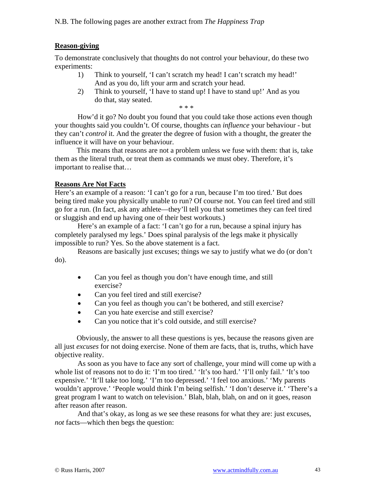N.B. The following pages are another extract from *The Happiness Trap* 

#### **Reason-giving**

To demonstrate conclusively that thoughts do not control your behaviour, do these two experiments:

- 1) Think to yourself, 'I can't scratch my head! I can't scratch my head!' And as you do, lift your arm and scratch your head.
- 2) Think to yourself, 'I have to stand up! I have to stand up!' And as you do that, stay seated.

\* \* \*

How'd it go? No doubt you found that you could take those actions even though your thoughts said you couldn't. Of course, thoughts can *influence* your behaviour - but they can't *control* it. And the greater the degree of fusion with a thought, the greater the influence it will have on your behaviour.

This means that reasons are not a problem unless we fuse with them: that is, take them as the literal truth, or treat them as commands we must obey. Therefore, it's important to realise that…

#### **Reasons Are Not Facts**

Here's an example of a reason: 'I can't go for a run, because I'm too tired.' But does being tired make you physically unable to run? Of course not. You can feel tired and still go for a run. (In fact, ask any athlete—they'll tell you that sometimes they can feel tired or sluggish and end up having one of their best workouts.)

Here's an example of a fact: 'I can't go for a run, because a spinal injury has completely paralysed my legs.' Does spinal paralysis of the legs make it physically impossible to run? Yes. So the above statement is a fact.

Reasons are basically just excuses; things we say to justify what we do (or don't do).

- Can you feel as though you don't have enough time, and still exercise?
- Can you feel tired and still exercise?
- Can you feel as though you can't be bothered, and still exercise?
- Can you hate exercise and still exercise?
- Can you notice that it's cold outside, and still exercise?

Obviously, the answer to all these questions is yes, because the reasons given are all just *excuses* for not doing exercise. None of them are facts, that is, truths, which have objective reality.

As soon as you have to face any sort of challenge, your mind will come up with a whole list of reasons not to do it: 'I'm too tired.' 'It's too hard.' 'I'll only fail.' 'It's too expensive.' 'It'll take too long.' 'I'm too depressed.' 'I feel too anxious.' 'My parents wouldn't approve.' 'People would think I'm being selfish.' 'I don't deserve it.' 'There's a great program I want to watch on television.' Blah, blah, blah, on and on it goes, reason after reason after reason.

And that's okay, as long as we see these reasons for what they are: just excuses, *not* facts—which then begs the question: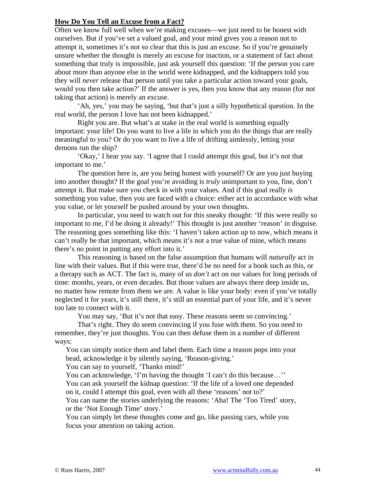# **How Do You Tell an Excuse from a Fact?**

Often we know full well when we're making excuses—we just need to be honest with ourselves. But if you've set a valued goal, and your mind gives you a reason not to attempt it, sometimes it's not so clear that this is just an excuse. So if you're genuinely unsure whether the thought is merely an excuse for inaction, or a statement of fact about something that truly is impossible, just ask yourself this question: 'If the person you care about more than anyone else in the world were kidnapped, and the kidnappers told you they will *never* release that person until you take a particular action toward your goals, would you then take action?' If the answer is yes, then you know that any reason (for not taking that action) is merely an excuse.

'Ah, yes,' you may be saying, 'but that's just a silly hypothetical question. In the real world, the person I love has not been kidnapped.'

Right you are. But what's at stake in the real world is something equally important: your life! Do you want to live a life in which you do the things that are really meaningful to you? Or do you want to live a life of drifting aimlessly, letting your demons run the ship?

'Okay,' I hear you say. 'I agree that I could attempt this goal, but it's not that important to me.'

The question here is, are you being honest with yourself? Or are you just buying into another thought? If the goal you're avoiding is *truly* unimportant to you, fine, don't attempt it. But make sure you check in with your values. And if this goal really *is* something you value, then you are faced with a choice: either act in accordance with what you value, or let yourself be pushed around by your own thoughts.

In particular, you need to watch out for this sneaky thought: 'If this were really so important to me, I'd be doing it already!' This thought is just another 'reason' in disguise. The reasoning goes something like this: 'I haven't taken action up to now, which means it can't really be that important, which means it's not a true value of mine, which means there's no point in putting any effort into it.'

This reasoning is based on the false assumption that humans will *naturally* act in line with their values. But if this were true, there'd be no need for a book such as this, or a therapy such as ACT. The fact is, many of us *don't* act on our values for long periods of time: months, years, or even decades. But those values are always there deep inside us, no matter how remote from them we are. A value is like your body: even if you've totally neglected it for years, it's still there, it's still an essential part of your life, and it's never too late to connect with it.

You may say, 'But it's not that easy. These reasons seem so convincing.'

That's right. They do seem convincing if you fuse with them. So you need to remember, they're just thoughts. You can then defuse them in a number of different ways:

You can simply notice them and label them. Each time a reason pops into your head, acknowledge it by silently saying, 'Reason-giving.'

You can say to yourself, 'Thanks mind!'

You can acknowledge, 'I'm having the thought 'I can't do this because…''

You can ask yourself the kidnap question: 'If the life of a loved one depended on it, could I attempt this goal, even with all these 'reasons' not to?'

You can name the stories underlying the reasons: 'Aha! The 'Too Tired' story, or the 'Not Enough Time' story.'

You can simply let these thoughts come and go, like passing cars, while you focus your attention on taking action.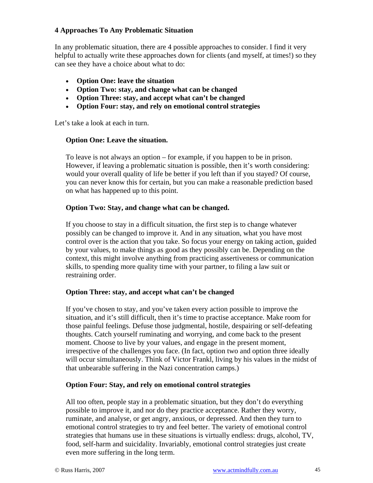# **4 Approaches To Any Problematic Situation**

In any problematic situation, there are 4 possible approaches to consider. I find it very helpful to actually write these approaches down for clients (and myself, at times!) so they can see they have a choice about what to do:

- **Option One: leave the situation**
- **Option Two: stay, and change what can be changed**
- **Option Three: stay, and accept what can't be changed**
- **Option Four: stay, and rely on emotional control strategies**

Let's take a look at each in turn.

# **Option One: Leave the situation.**

To leave is not always an option – for example, if you happen to be in prison. However, if leaving a problematic situation is possible, then it's worth considering: would your overall quality of life be better if you left than if you stayed? Of course, you can never know this for certain, but you can make a reasonable prediction based on what has happened up to this point.

# **Option Two: Stay, and change what can be changed.**

If you choose to stay in a difficult situation, the first step is to change whatever possibly can be changed to improve it. And in any situation, what you have most control over is the action that you take. So focus your energy on taking action, guided by your values, to make things as good as they possibly can be. Depending on the context, this might involve anything from practicing assertiveness or communication skills, to spending more quality time with your partner, to filing a law suit or restraining order.

# **Option Three: stay, and accept what can't be changed**

If you've chosen to stay, and you've taken every action possible to improve the situation, and it's still difficult, then it's time to practise acceptance. Make room for those painful feelings. Defuse those judgmental, hostile, despairing or self-defeating thoughts. Catch yourself ruminating and worrying, and come back to the present moment. Choose to live by your values, and engage in the present moment, irrespective of the challenges you face. (In fact, option two and option three ideally will occur simultaneously. Think of Victor Frankl, living by his values in the midst of that unbearable suffering in the Nazi concentration camps.)

# **Option Four: Stay, and rely on emotional control strategies**

All too often, people stay in a problematic situation, but they don't do everything possible to improve it, and nor do they practice acceptance. Rather they worry, ruminate, and analyse, or get angry, anxious, or depressed. And then they turn to emotional control strategies to try and feel better. The variety of emotional control strategies that humans use in these situations is virtually endless: drugs, alcohol, TV, food, self-harm and suicidality. Invariably, emotional control strategies just create even more suffering in the long term.